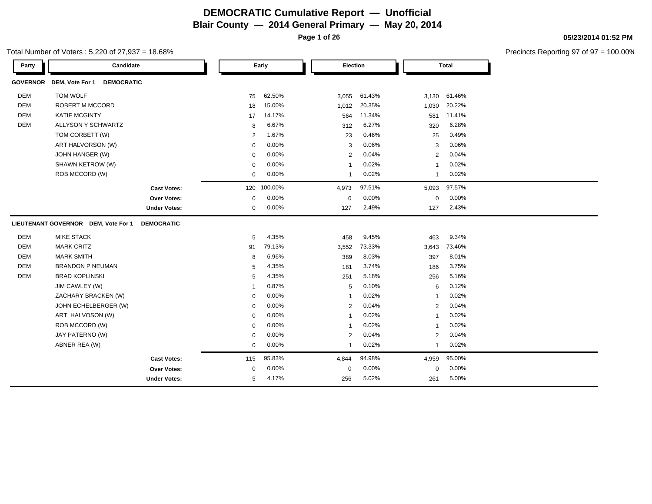**Page 1 of 26**

### Total Number of Voters : 5,220 of 27,937 = 18.68%

**05/23/2014 01:52 PM**

| Party           | Candidate                            |                     |                | Early   | Election     |        |                | <b>Total</b> |
|-----------------|--------------------------------------|---------------------|----------------|---------|--------------|--------|----------------|--------------|
| <b>GOVERNOR</b> | DEM, Vote For 1<br><b>DEMOCRATIC</b> |                     |                |         |              |        |                |              |
| DEM             | TOM WOLF                             |                     | 75             | 62.50%  | 3,055        | 61.43% | 3,130          | 61.46%       |
| <b>DEM</b>      | <b>ROBERT M MCCORD</b>               |                     | 18             | 15.00%  | 1,012        | 20.35% | 1,030          | 20.22%       |
| <b>DEM</b>      | <b>KATIE MCGINTY</b>                 |                     | 17             | 14.17%  | 564          | 11.34% | 581            | 11.41%       |
| <b>DEM</b>      | <b>ALLYSON Y SCHWARTZ</b>            |                     | 8              | 6.67%   | 312          | 6.27%  | 320            | 6.28%        |
|                 | TOM CORBETT (W)                      |                     | $\overline{2}$ | 1.67%   | 23           | 0.46%  | 25             | 0.49%        |
|                 | ART HALVORSON (W)                    |                     | $\mathbf 0$    | 0.00%   | 3            | 0.06%  | 3              | 0.06%        |
|                 | JOHN HANGER (W)                      |                     | $\mathbf 0$    | 0.00%   | 2            | 0.04%  | 2              | 0.04%        |
|                 | SHAWN KETROW (W)                     |                     | $\mathbf 0$    | 0.00%   | $\mathbf{1}$ | 0.02%  | $\overline{1}$ | 0.02%        |
|                 | ROB MCCORD (W)                       |                     | $\mathbf 0$    | 0.00%   | $\mathbf{1}$ | 0.02%  | $\mathbf{1}$   | 0.02%        |
|                 |                                      | <b>Cast Votes:</b>  | 120            | 100.00% | 4,973        | 97.51% | 5,093          | 97.57%       |
|                 |                                      | Over Votes:         | $\mathbf 0$    | 0.00%   | $\mathbf 0$  | 0.00%  | $\mathbf 0$    | 0.00%        |
|                 |                                      | <b>Under Votes:</b> | 0              | 0.00%   | 127          | 2.49%  | 127            | 2.43%        |
|                 | LIEUTENANT GOVERNOR DEM, Vote For 1  | <b>DEMOCRATIC</b>   |                |         |              |        |                |              |
| <b>DEM</b>      | <b>MIKE STACK</b>                    |                     | 5              | 4.35%   | 458          | 9.45%  | 463            | 9.34%        |
| <b>DEM</b>      | <b>MARK CRITZ</b>                    |                     | 91             | 79.13%  | 3,552        | 73.33% | 3,643          | 73.46%       |
| <b>DEM</b>      | <b>MARK SMITH</b>                    |                     | 8              | 6.96%   | 389          | 8.03%  | 397            | 8.01%        |
| <b>DEM</b>      | <b>BRANDON P NEUMAN</b>              |                     | 5              | 4.35%   | 181          | 3.74%  | 186            | 3.75%        |
| DEM             | <b>BRAD KOPLINSKI</b>                |                     | 5              | 4.35%   | 251          | 5.18%  | 256            | 5.16%        |
|                 | JIM CAWLEY (W)                       |                     |                | 0.87%   | 5            | 0.10%  | 6              | 0.12%        |
|                 | ZACHARY BRACKEN (W)                  |                     | $\mathbf 0$    | 0.00%   | -1           | 0.02%  | $\mathbf 1$    | 0.02%        |
|                 | JOHN ECHELBERGER (W)                 |                     | $\mathbf 0$    | 0.00%   | 2            | 0.04%  | 2              | 0.04%        |
|                 | ART HALVOSON (W)                     |                     | $\mathbf 0$    | 0.00%   | $\mathbf{1}$ | 0.02%  | $\mathbf{1}$   | 0.02%        |
|                 | ROB MCCORD (W)                       |                     | $\mathbf 0$    | 0.00%   | $\mathbf{1}$ | 0.02%  | $\mathbf{1}$   | 0.02%        |
|                 | JAY PATERNO (W)                      |                     | $\mathbf 0$    | 0.00%   | 2            | 0.04%  | 2              | 0.04%        |
|                 | ABNER REA (W)                        |                     | $\mathbf 0$    | 0.00%   | $\mathbf{1}$ | 0.02%  | $\mathbf{1}$   | 0.02%        |
|                 |                                      | <b>Cast Votes:</b>  | 115            | 95.83%  | 4,844        | 94.98% | 4,959          | 95.00%       |
|                 |                                      | Over Votes:         | $\mathbf 0$    | 0.00%   | $\mathbf 0$  | 0.00%  | $\mathbf 0$    | 0.00%        |
|                 |                                      | <b>Under Votes:</b> | 5              | 4.17%   | 256          | 5.02%  | 261            | 5.00%        |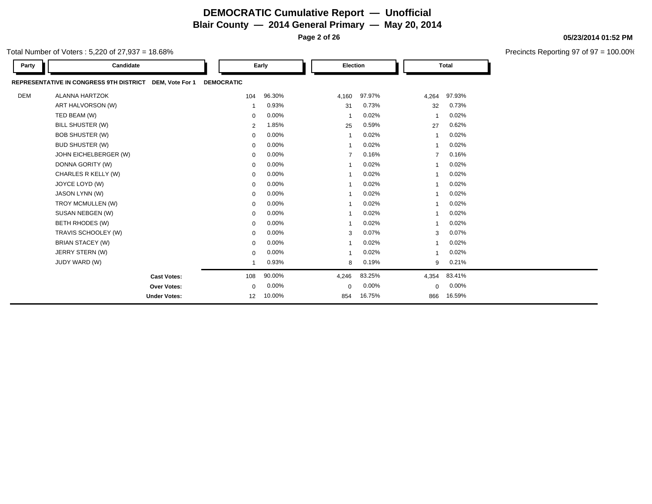**Page 2 of 26**

Total Number of Voters : 5,220 of 27,937 = 18.68%

| Party | Candidate                               |                 |                   | Early  | Election       |        |          | <b>Total</b> |
|-------|-----------------------------------------|-----------------|-------------------|--------|----------------|--------|----------|--------------|
|       | REPRESENTATIVE IN CONGRESS 9TH DISTRICT | DEM, Vote For 1 | <b>DEMOCRATIC</b> |        |                |        |          |              |
| DEM   | <b>ALANNA HARTZOK</b>                   |                 | 104               | 96.30% | 4,160          | 97.97% | 4,264    | 97.93%       |
|       | ART HALVORSON (W)                       |                 |                   | 0.93%  | 31             | 0.73%  | 32       | 0.73%        |
|       | TED BEAM (W)                            |                 | 0                 | 0.00%  | -1             | 0.02%  | -1       | 0.02%        |
|       | BILL SHUSTER (W)                        |                 | $\overline{2}$    | 1.85%  | 25             | 0.59%  | 27       | 0.62%        |
|       | <b>BOB SHUSTER (W)</b>                  |                 | 0                 | 0.00%  | $\mathbf 1$    | 0.02%  | -1       | 0.02%        |
|       | <b>BUD SHUSTER (W)</b>                  |                 | 0                 | 0.00%  |                | 0.02%  |          | 0.02%        |
|       | JOHN EICHELBERGER (W)                   |                 | 0                 | 0.00%  | $\overline{7}$ | 0.16%  | 7        | 0.16%        |
|       | DONNA GORITY (W)                        |                 | 0                 | 0.00%  |                | 0.02%  |          | 0.02%        |
|       | CHARLES R KELLY (W)                     |                 | 0                 | 0.00%  |                | 0.02%  |          | 0.02%        |
|       | JOYCE LOYD (W)                          |                 | 0                 | 0.00%  |                | 0.02%  |          | 0.02%        |
|       | JASON LYNN (W)                          |                 | 0                 | 0.00%  |                | 0.02%  |          | 0.02%        |
|       | TROY MCMULLEN (W)                       |                 | 0                 | 0.00%  |                | 0.02%  |          | 0.02%        |
|       | SUSAN NEBGEN (W)                        |                 | 0                 | 0.00%  |                | 0.02%  |          | 0.02%        |
|       | BETH RHODES (W)                         |                 | 0                 | 0.00%  |                | 0.02%  |          | 0.02%        |
|       | TRAVIS SCHOOLEY (W)                     |                 | 0                 | 0.00%  | 3              | 0.07%  | 3        | 0.07%        |
|       | <b>BRIAN STACEY (W)</b>                 |                 | 0                 | 0.00%  | $\overline{1}$ | 0.02%  |          | 0.02%        |
|       | JERRY STERN (W)                         |                 | 0                 | 0.00%  |                | 0.02%  | 1        | 0.02%        |
|       | JUDY WARD (W)                           |                 |                   | 0.93%  | 8              | 0.19%  | 9        | 0.21%        |
|       | <b>Cast Votes:</b>                      |                 | 108               | 90.00% | 4,246          | 83.25% | 4,354    | 83.41%       |
|       | Over Votes:                             |                 | 0                 | 0.00%  | $\mathbf 0$    | 0.00%  | $\Omega$ | 0.00%        |
|       | <b>Under Votes:</b>                     |                 | 12                | 10.00% | 854            | 16.75% | 866      | 16.59%       |

#### **05/23/2014 01:52 PM**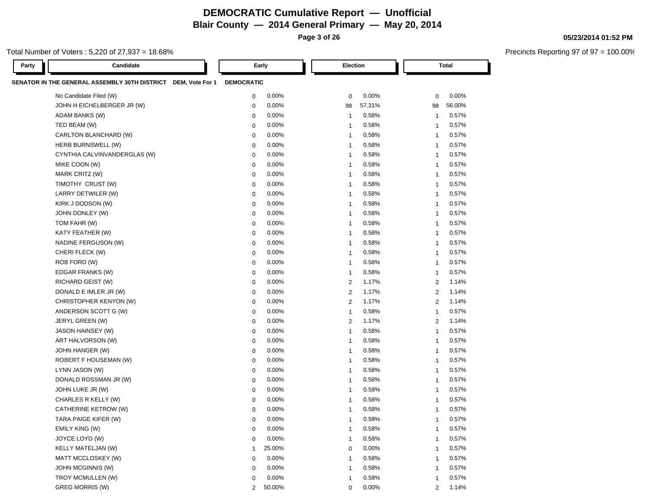**Page 3 of 26**

### Total Number of Voters : 5,220 of 27,937 = 18.68%

**05/23/2014 01:52 PM**

| Party | Candidate                                                     |                   | Early  | Election                |        |                | Total  |
|-------|---------------------------------------------------------------|-------------------|--------|-------------------------|--------|----------------|--------|
|       | SENATOR IN THE GENERAL ASSEMBLY 30TH DISTRICT DEM, Vote For 1 | <b>DEMOCRATIC</b> |        |                         |        |                |        |
|       | No Candidate Filed (W)                                        | $\mathbf 0$       | 0.00%  | $\mathbf 0$             | 0.00%  | $\mathbf 0$    | 0.00%  |
|       | JOHN H EICHELBERGER JR (W)                                    | $\mathbf 0$       | 0.00%  | 98                      | 57.31% | 98             | 56.00% |
|       | ADAM BANKS (W)                                                | 0                 | 0.00%  | $\mathbf{1}$            | 0.58%  | $\overline{1}$ | 0.57%  |
|       | TED BEAM (W)                                                  | 0                 | 0.00%  | $\mathbf 1$             | 0.58%  | -1             | 0.57%  |
|       | CARLTON BLANCHARD (W)                                         | 0                 | 0.00%  | $\mathbf{1}$            | 0.58%  | $\overline{1}$ | 0.57%  |
|       | HERB BURNSWELL (W)                                            | 0                 | 0.00%  | -1                      | 0.58%  | -1             | 0.57%  |
|       | CYNTHIA CALVINVANDERGLAS (W)                                  | 0                 | 0.00%  | -1                      | 0.58%  | -1             | 0.57%  |
|       | MIKE COON (W)                                                 | 0                 | 0.00%  | -1                      | 0.58%  | -1             | 0.57%  |
|       | MARK CRITZ (W)                                                | 0                 | 0.00%  | $\overline{\mathbf{1}}$ | 0.58%  | $\overline{1}$ | 0.57%  |
|       | TIMOTHY CRUST (W)                                             | 0                 | 0.00%  | -1                      | 0.58%  | -1             | 0.57%  |
|       | LARRY DETWILER (W)                                            | 0                 | 0.00%  | -1                      | 0.58%  | -1             | 0.57%  |
|       | KIRK J DODSON (W)                                             | 0                 | 0.00%  | -1                      | 0.58%  | -1             | 0.57%  |
|       | JOHN DONLEY (W)                                               | 0                 | 0.00%  | -1                      | 0.58%  | -1             | 0.57%  |
|       | TOM FAHR (W)                                                  | $\mathbf 0$       | 0.00%  | -1                      | 0.58%  | -1             | 0.57%  |
|       | KATY FEATHER (W)                                              | 0                 | 0.00%  | 1                       | 0.58%  | -1             | 0.57%  |
|       | NADINE FERGUSON (W)                                           | $\mathbf 0$       | 0.00%  | -1                      | 0.58%  | $\overline{1}$ | 0.57%  |
|       | CHERI FLECK (W)                                               | $\mathbf 0$       | 0.00%  | 1                       | 0.58%  | $\overline{1}$ | 0.57%  |
|       | ROB FORD (W)                                                  | 0                 | 0.00%  | -1                      | 0.58%  | $\overline{1}$ | 0.57%  |
|       | EDGAR FRANKS (W)                                              | 0                 | 0.00%  | -1                      | 0.58%  | 1              | 0.57%  |
|       | RICHARD GEIST (W)                                             | 0                 | 0.00%  | 2                       | 1.17%  | 2              | 1.14%  |
|       | DONALD E IMLER JR (W)                                         | 0                 | 0.00%  | 2                       | 1.17%  | 2              | 1.14%  |
|       | CHRISTOPHER KENYON (W)                                        | 0                 | 0.00%  | 2                       | 1.17%  | 2              | 1.14%  |
|       | ANDERSON SCOTT G (W)                                          | 0                 | 0.00%  | 1                       | 0.58%  | $\overline{1}$ | 0.57%  |
|       | JERYL GREEN (W)                                               | 0                 | 0.00%  | 2                       | 1.17%  | 2              | 1.14%  |
|       | JASON HAINSEY (W)                                             | 0                 | 0.00%  | -1                      | 0.58%  | -1             | 0.57%  |
|       | ART HALVORSON (W)                                             | 0                 | 0.00%  | -1                      | 0.58%  | -1             | 0.57%  |
|       | JOHN HANGER (W)                                               | 0                 | 0.00%  | -1                      | 0.58%  | 1              | 0.57%  |
|       | ROBERT F HOUSEMAN (W)                                         | 0                 | 0.00%  | -1                      | 0.58%  | -1             | 0.57%  |
|       | LYNN JASON (W)                                                | 0                 | 0.00%  | -1                      | 0.58%  | -1             | 0.57%  |
|       | DONALD ROSSMAN JR (W)                                         | 0                 | 0.00%  | -1                      | 0.58%  | -1             | 0.57%  |
|       | JOHN LUKE JR (W)                                              | 0                 | 0.00%  | -1                      | 0.58%  | -1             | 0.57%  |
|       | CHARLES R KELLY (W)                                           | 0                 | 0.00%  | -1                      | 0.58%  | 1              | 0.57%  |
|       | CATHERINE KETROW (W)                                          | 0                 | 0.00%  | -1                      | 0.58%  | 1              | 0.57%  |
|       | TARA PAIGE KIFER (W)                                          | 0                 | 0.00%  | -1                      | 0.58%  | 1              | 0.57%  |
|       | EMILY KING (W)                                                |                   | 0.00%  |                         | 0.58%  |                | 0.57%  |
|       | JOYCE LOYD (W)                                                | $\mathbf 0$       | 0.00%  | 1                       | 0.58%  | 1              | 0.57%  |
|       | KELLY MATELJAN (W)                                            | -1                | 25.00% | 0                       | 0.00%  | -1             | 0.57%  |
|       | MATT MCCLOSKEY (W)                                            | 0                 | 0.00%  | 1                       | 0.58%  | 1              | 0.57%  |
|       | <b>JOHN MCGINNIS (W)</b>                                      | 0                 | 0.00%  | 1                       | 0.58%  | 1              | 0.57%  |
|       | TROY MCMULLEN (W)                                             | 0                 | 0.00%  | 1                       | 0.58%  | 1              | 0.57%  |
|       | <b>GREG MORRIS (W)</b>                                        | $\overline{2}$    | 50.00% | 0                       | 0.00%  | 2              | 1.14%  |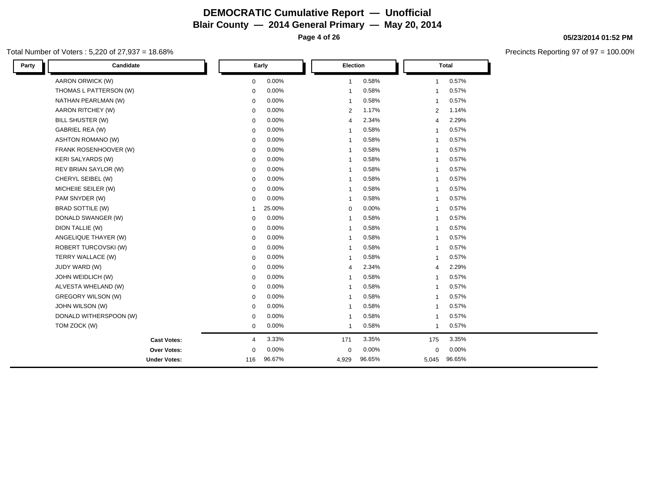**Page 4 of 26**

### Total Number of Voters : 5,220 of 27,937 = 18.68%

| Party | Candidate                 |              | Early  | Election       |        |                         | <b>Total</b> |
|-------|---------------------------|--------------|--------|----------------|--------|-------------------------|--------------|
|       | AARON ORWICK (W)          | $\mathbf 0$  | 0.00%  | $\mathbf{1}$   | 0.58%  | $\overline{1}$          | 0.57%        |
|       | THOMAS L PATTERSON (W)    | $\mathbf 0$  | 0.00%  | -1             | 0.58%  | $\overline{1}$          | 0.57%        |
|       | NATHAN PEARLMAN (W)       | $\mathbf 0$  | 0.00%  | -1             | 0.58%  | -1                      | 0.57%        |
|       | AARON RITCHEY (W)         | $\mathbf 0$  | 0.00%  | $\overline{2}$ | 1.17%  | $\overline{2}$          | 1.14%        |
|       | BILL SHUSTER (W)          | $\mathbf 0$  | 0.00%  | 4              | 2.34%  | $\overline{4}$          | 2.29%        |
|       | <b>GABRIEL REA (W)</b>    | $\mathbf 0$  | 0.00%  | -1             | 0.58%  | -1                      | 0.57%        |
|       | <b>ASHTON ROMANO (W)</b>  | $\mathbf 0$  | 0.00%  |                | 0.58%  | -1                      | 0.57%        |
|       | FRANK ROSENHOOVER (W)     | $\mathbf 0$  | 0.00%  | $\mathbf{1}$   | 0.58%  | $\overline{1}$          | 0.57%        |
|       | <b>KERI SALYARDS (W)</b>  | 0            | 0.00%  | -1             | 0.58%  | -1                      | 0.57%        |
|       | REV BRIAN SAYLOR (W)      | $\mathbf 0$  | 0.00%  | -1             | 0.58%  | -1                      | 0.57%        |
|       | CHERYL SEIBEL (W)         | $\mathbf 0$  | 0.00%  | -1             | 0.58%  | -1                      | 0.57%        |
|       | MICHEIIE SEILER (W)       | $\mathbf 0$  | 0.00%  | $\mathbf 1$    | 0.58%  | $\overline{1}$          | 0.57%        |
|       | PAM SNYDER (W)            | $\mathbf 0$  | 0.00%  | $\overline{1}$ | 0.58%  | $\overline{1}$          | 0.57%        |
|       | <b>BRAD SOTTILE (W)</b>   | $\mathbf{1}$ | 25.00% | $\mathbf 0$    | 0.00%  | -1                      | 0.57%        |
|       | DONALD SWANGER (W)        | 0            | 0.00%  | $\overline{1}$ | 0.58%  | $\overline{1}$          | 0.57%        |
|       | DION TALLIE (W)           | $\mathbf 0$  | 0.00%  | $\overline{1}$ | 0.58%  | $\overline{1}$          | 0.57%        |
|       | ANGELIQUE THAYER (W)      | $\mathbf 0$  | 0.00%  | -1             | 0.58%  | -1                      | 0.57%        |
|       | ROBERT TURCOVSKI (W)      | $\mathbf 0$  | 0.00%  | -1             | 0.58%  | $\overline{\mathbf{1}}$ | 0.57%        |
|       | TERRY WALLACE (W)         | $\mathbf 0$  | 0.00%  | $\mathbf{1}$   | 0.58%  | $\overline{\mathbf{1}}$ | 0.57%        |
|       | JUDY WARD (W)             | $\mathbf 0$  | 0.00%  | 4              | 2.34%  | $\overline{4}$          | 2.29%        |
|       | JOHN WEIDLICH (W)         | $\mathbf 0$  | 0.00%  | -1             | 0.58%  | -1                      | 0.57%        |
|       | ALVESTA WHELAND (W)       | $\mathbf 0$  | 0.00%  | -1             | 0.58%  | $\overline{1}$          | 0.57%        |
|       | <b>GREGORY WILSON (W)</b> | $\mathbf 0$  | 0.00%  | -1             | 0.58%  | -1                      | 0.57%        |
|       | JOHN WILSON (W)           | $\mathbf 0$  | 0.00%  | -1             | 0.58%  | -1                      | 0.57%        |
|       | DONALD WITHERSPOON (W)    | $\mathbf 0$  | 0.00%  |                | 0.58%  | -1                      | 0.57%        |
|       | TOM ZOCK (W)              | $\mathbf 0$  | 0.00%  | $\mathbf{1}$   | 0.58%  | $\overline{1}$          | 0.57%        |
|       | <b>Cast Votes:</b>        | 4            | 3.33%  | 171            | 3.35%  | 175                     | 3.35%        |
|       | Over Votes:               | $\mathbf 0$  | 0.00%  | $\mathbf 0$    | 0.00%  | $\mathbf 0$             | 0.00%        |
|       | <b>Under Votes:</b>       | 116          | 96.67% | 4,929          | 96.65% | 5,045                   | 96.65%       |

**05/23/2014 01:52 PM**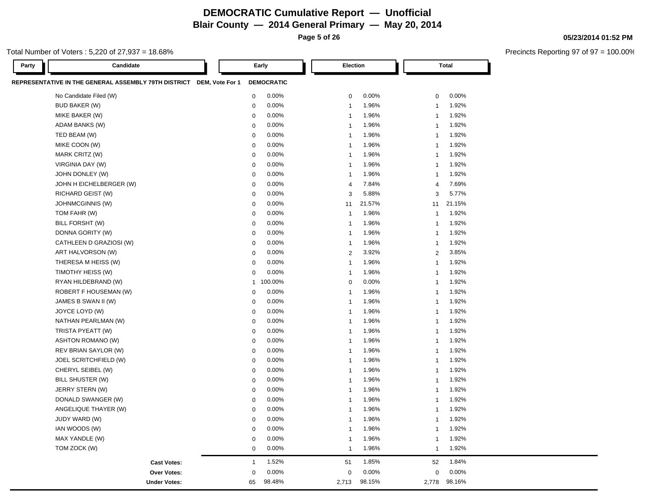**Page 5 of 26**

### Total Number of Voters : 5,220 of 27,937 = 18.68%

| 05/23/2014 01:52 PM |  |
|---------------------|--|
|---------------------|--|

| Party | Candidate                                                            |              | Early             | Election       |        |                | <b>Total</b> |
|-------|----------------------------------------------------------------------|--------------|-------------------|----------------|--------|----------------|--------------|
|       | REPRESENTATIVE IN THE GENERAL ASSEMBLY 79TH DISTRICT DEM, Vote For 1 |              | <b>DEMOCRATIC</b> |                |        |                |              |
|       | No Candidate Filed (W)                                               | $\mathbf 0$  | 0.00%             | $\mathbf 0$    | 0.00%  | 0              | 0.00%        |
|       | <b>BUD BAKER (W)</b>                                                 | $\mathbf 0$  | 0.00%             | $\overline{1}$ | 1.96%  | 1              | 1.92%        |
|       | MIKE BAKER (W)                                                       | $\mathbf 0$  | 0.00%             | $\overline{1}$ | 1.96%  | 1              | 1.92%        |
|       | ADAM BANKS (W)                                                       | $\mathbf 0$  | 0.00%             | $\mathbf{1}$   | 1.96%  | 1              | 1.92%        |
|       | TED BEAM (W)                                                         | $\mathbf 0$  | 0.00%             | $\overline{1}$ | 1.96%  | 1              | 1.92%        |
|       | MIKE COON (W)                                                        | $\mathbf 0$  | 0.00%             | $\overline{1}$ | 1.96%  | 1              | 1.92%        |
|       | MARK CRITZ (W)                                                       | $\mathbf 0$  | 0.00%             | $\overline{1}$ | 1.96%  | 1              | 1.92%        |
|       | VIRGINIA DAY (W)                                                     | $\mathbf 0$  | 0.00%             | $\mathbf{1}$   | 1.96%  | 1              | 1.92%        |
|       | JOHN DONLEY (W)                                                      | $\Omega$     | 0.00%             | $\mathbf{1}$   | 1.96%  | $\mathbf{1}$   | 1.92%        |
|       | JOHN H EICHELBERGER (W)                                              | $\mathbf 0$  | 0.00%             | $\overline{4}$ | 7.84%  | 4              | 7.69%        |
|       | RICHARD GEIST (W)                                                    | $\mathbf 0$  | 0.00%             | 3              | 5.88%  | 3              | 5.77%        |
|       | <b>JOHNMCGINNIS (W)</b>                                              | $\mathbf 0$  | 0.00%             | 11             | 21.57% | 11             | 21.15%       |
|       | TOM FAHR (W)                                                         | $\mathbf 0$  | 0.00%             | $\mathbf{1}$   | 1.96%  | 1              | 1.92%        |
|       | BILL FORSHT (W)                                                      | $\mathbf 0$  | 0.00%             | $\overline{1}$ | 1.96%  | 1              | 1.92%        |
|       | DONNA GORITY (W)                                                     | $\mathbf 0$  | 0.00%             | $\overline{1}$ | 1.96%  | 1              | 1.92%        |
|       | CATHLEEN D GRAZIOSI (W)                                              | $\mathbf 0$  | 0.00%             | $\mathbf{1}$   | 1.96%  | 1              | 1.92%        |
|       | ART HALVORSON (W)                                                    | $\mathbf 0$  | 0.00%             | $\overline{2}$ | 3.92%  | $\overline{2}$ | 3.85%        |
|       | THERESA M HEISS (W)                                                  | $\mathbf 0$  | 0.00%             | $\mathbf{1}$   | 1.96%  | $\mathbf{1}$   | 1.92%        |
|       | TIMOTHY HEISS (W)                                                    | $\Omega$     | 0.00%             | $\mathbf{1}$   | 1.96%  | 1              | 1.92%        |
|       | RYAN HILDEBRAND (W)                                                  | $\mathbf{1}$ | 100.00%           | $\mathbf 0$    | 0.00%  | 1              | 1.92%        |
|       | ROBERT F HOUSEMAN (W)                                                | $\Omega$     | 0.00%             | $\mathbf{1}$   | 1.96%  | 1              | 1.92%        |
|       | JAMES B SWAN II (W)                                                  | $\mathbf 0$  | 0.00%             | $\mathbf{1}$   | 1.96%  | 1              | 1.92%        |
|       | JOYCE LOYD (W)                                                       | $\mathbf 0$  | 0.00%             | $\overline{1}$ | 1.96%  | 1              | 1.92%        |
|       | NATHAN PEARLMAN (W)                                                  | $\mathbf 0$  | 0.00%             | $\overline{1}$ | 1.96%  | 1              | 1.92%        |
|       | TRISTA PYEATT (W)                                                    | $\mathbf 0$  | 0.00%             | $\overline{1}$ | 1.96%  | 1              | 1.92%        |
|       | ASHTON ROMANO (W)                                                    | $\mathbf 0$  | 0.00%             | $\overline{1}$ | 1.96%  | 1              | 1.92%        |
|       | REV BRIAN SAYLOR (W)                                                 | $\mathbf 0$  | 0.00%             | $\overline{1}$ | 1.96%  | $\mathbf{1}$   | 1.92%        |
|       | JOEL SCRITCHFIELD (W)                                                | $\mathbf 0$  | 0.00%             | $\mathbf{1}$   | 1.96%  | 1              | 1.92%        |
|       | CHERYL SEIBEL (W)                                                    | $\mathbf 0$  | 0.00%             | $\overline{1}$ | 1.96%  | 1              | 1.92%        |
|       | BILL SHUSTER (W)                                                     | $\mathbf 0$  | 0.00%             | $\overline{1}$ | 1.96%  | 1              | 1.92%        |
|       | JERRY STERN (W)                                                      | $\mathbf 0$  | 0.00%             | $\mathbf{1}$   | 1.96%  | 1              | 1.92%        |
|       | DONALD SWANGER (W)                                                   | $\mathbf 0$  | 0.00%             | $\overline{1}$ | 1.96%  | 1              | 1.92%        |
|       | ANGELIQUE THAYER (W)                                                 | $\mathbf 0$  | 0.00%             | $\overline{1}$ | 1.96%  | 1              | 1.92%        |
|       | <b>JUDY WARD (W)</b>                                                 | $\mathbf 0$  | 0.00%             | $\mathbf{1}$   | 1.96%  | 1              | 1.92%        |
|       | IAN WOODS (W)                                                        | $\mathbf 0$  | 0.00%             | $\mathbf{1}$   | 1.96%  | 1              | 1.92%        |
|       | MAX YANDLE (W)                                                       | $\mathbf 0$  | 0.00%             | $\overline{1}$ | 1.96%  | 1              | 1.92%        |
|       | TOM ZOCK (W)                                                         | $\mathbf 0$  | 0.00%             | $\mathbf{1}$   | 1.96%  | $\mathbf{1}$   | 1.92%        |
|       | <b>Cast Votes:</b>                                                   | $\mathbf{1}$ | 1.52%             | 51             | 1.85%  | 52             | 1.84%        |
|       | <b>Over Votes:</b>                                                   | $\mathbf 0$  | 0.00%             | $\mathbf 0$    | 0.00%  | $\Omega$       | 0.00%        |
|       | <b>Under Votes:</b>                                                  | 65           | 98.48%            | 2,713          | 98.15% | 2,778          | 98.16%       |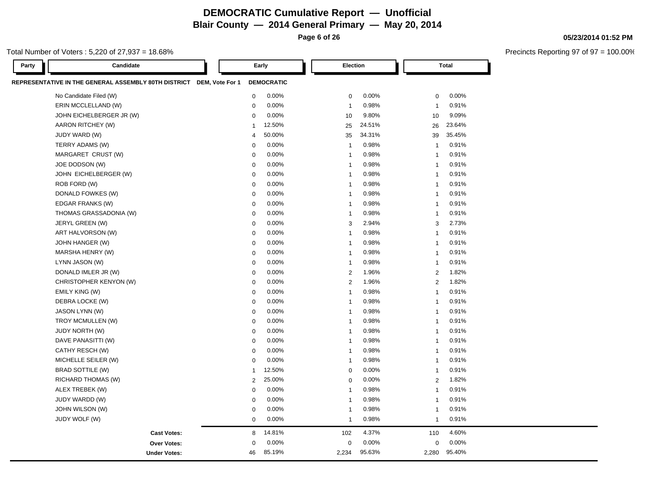**Page 6 of 26**

### Total Number of Voters : 5,220 of 27,937 = 18.68%

| Candidate<br>Party                                                   |                | Early             | Election       |        |                | <b>Total</b> |
|----------------------------------------------------------------------|----------------|-------------------|----------------|--------|----------------|--------------|
| REPRESENTATIVE IN THE GENERAL ASSEMBLY 80TH DISTRICT DEM, Vote For 1 |                | <b>DEMOCRATIC</b> |                |        |                |              |
| No Candidate Filed (W)                                               | $\mathbf 0$    | 0.00%             | $\mathbf 0$    | 0.00%  | $\mathbf 0$    | 0.00%        |
| ERIN MCCLELLAND (W)                                                  | $\mathbf 0$    | 0.00%             | $\overline{1}$ | 0.98%  | $\overline{1}$ | 0.91%        |
| JOHN EICHELBERGER JR (W)                                             | $\mathbf 0$    | 0.00%             | 10             | 9.80%  | 10             | 9.09%        |
| AARON RITCHEY (W)                                                    | $\mathbf{1}$   | 12.50%            | 25             | 24.51% | 26             | 23.64%       |
| JUDY WARD (W)                                                        | $\overline{4}$ | 50.00%            | 35             | 34.31% | 39             | 35.45%       |
| TERRY ADAMS (W)                                                      | $\mathbf 0$    | 0.00%             | $\overline{1}$ | 0.98%  | $\overline{1}$ | 0.91%        |
| MARGARET CRUST (W)                                                   | $\mathbf 0$    | 0.00%             | $\overline{1}$ | 0.98%  | $\overline{1}$ | 0.91%        |
| JOE DODSON (W)                                                       | $\mathbf 0$    | 0.00%             | $\overline{1}$ | 0.98%  | $\overline{1}$ | 0.91%        |
| JOHN EICHELBERGER (W)                                                | $\mathbf 0$    | 0.00%             | $\overline{1}$ | 0.98%  | $\overline{1}$ | 0.91%        |
| ROB FORD (W)                                                         | $\mathbf 0$    | 0.00%             | $\overline{1}$ | 0.98%  | $\overline{1}$ | 0.91%        |
| DONALD FOWKES (W)                                                    | $\mathbf 0$    | 0.00%             | $\overline{1}$ | 0.98%  | $\overline{1}$ | 0.91%        |
| EDGAR FRANKS (W)                                                     | $\mathbf 0$    | 0.00%             | $\overline{1}$ | 0.98%  | $\overline{1}$ | 0.91%        |
| THOMAS GRASSADONIA (W)                                               | $\mathbf 0$    | 0.00%             | $\overline{1}$ | 0.98%  | $\overline{1}$ | 0.91%        |
| JERYL GREEN (W)                                                      | $\mathbf 0$    | 0.00%             | 3              | 2.94%  | 3              | 2.73%        |
| ART HALVORSON (W)                                                    | $\mathbf 0$    | 0.00%             | $\overline{1}$ | 0.98%  | $\overline{1}$ | 0.91%        |
| JOHN HANGER (W)                                                      | $\mathbf 0$    | 0.00%             | $\overline{1}$ | 0.98%  | $\overline{1}$ | 0.91%        |
| MARSHA HENRY (W)                                                     | $\mathbf 0$    | 0.00%             | $\overline{1}$ | 0.98%  | $\overline{1}$ | 0.91%        |
| LYNN JASON (W)                                                       | $\mathbf 0$    | 0.00%             | $\overline{1}$ | 0.98%  | $\overline{1}$ | 0.91%        |
| DONALD IMLER JR (W)                                                  | $\mathbf 0$    | 0.00%             | $\overline{2}$ | 1.96%  | $\overline{2}$ | 1.82%        |
| CHRISTOPHER KENYON (W)                                               | $\mathbf 0$    | 0.00%             | $\overline{2}$ | 1.96%  | 2              | 1.82%        |
| EMILY KING (W)                                                       | $\mathbf 0$    | 0.00%             | $\mathbf{1}$   | 0.98%  | $\overline{1}$ | 0.91%        |
| DEBRA LOCKE (W)                                                      | $\mathbf 0$    | 0.00%             | $\overline{1}$ | 0.98%  | $\overline{1}$ | 0.91%        |
| JASON LYNN (W)                                                       | $\mathbf 0$    | 0.00%             | $\overline{1}$ | 0.98%  | $\overline{1}$ | 0.91%        |
| TROY MCMULLEN (W)                                                    | $\mathbf 0$    | 0.00%             | $\overline{1}$ | 0.98%  | $\overline{1}$ | 0.91%        |
| <b>JUDY NORTH (W)</b>                                                | $\mathbf 0$    | 0.00%             | $\overline{1}$ | 0.98%  | $\overline{1}$ | 0.91%        |
| DAVE PANASITTI (W)                                                   | $\mathbf 0$    | 0.00%             | $\overline{1}$ | 0.98%  | $\overline{1}$ | 0.91%        |
| CATHY RESCH (W)                                                      | $\pmb{0}$      | 0.00%             | $\overline{1}$ | 0.98%  | $\overline{1}$ | 0.91%        |
| MICHELLE SEILER (W)                                                  | $\mathbf 0$    | 0.00%             | $\overline{1}$ | 0.98%  | $\overline{1}$ | 0.91%        |
| <b>BRAD SOTTILE (W)</b>                                              | $\mathbf{1}$   | 12.50%            | $\mathbf 0$    | 0.00%  | $\overline{1}$ | 0.91%        |
| RICHARD THOMAS (W)                                                   | $\sqrt{2}$     | 25.00%            | $\mathbf 0$    | 0.00%  | 2              | 1.82%        |
| ALEX TREBEK (W)                                                      | $\mathbf 0$    | 0.00%             | $\overline{1}$ | 0.98%  | $\overline{1}$ | 0.91%        |
| JUDY WARDD (W)                                                       | $\mathbf 0$    | 0.00%             | $\overline{1}$ | 0.98%  | $\overline{1}$ | 0.91%        |
| JOHN WILSON (W)                                                      | $\mathbf 0$    | 0.00%             | $\overline{1}$ | 0.98%  | $\overline{1}$ | 0.91%        |
| JUDY WOLF (W)                                                        | $\mathbf 0$    | 0.00%             | $\overline{1}$ | 0.98%  | $\overline{1}$ | 0.91%        |
| <b>Cast Votes:</b>                                                   | 8              | 14.81%            | 102            | 4.37%  | 110            | 4.60%        |
| <b>Over Votes:</b>                                                   | $\mathbf 0$    | 0.00%             | $\mathbf 0$    | 0.00%  | 0              | 0.00%        |
| <b>Under Votes:</b>                                                  | 46             | 85.19%            | 2,234          | 95.63% | 2,280          | 95.40%       |

#### **05/23/2014 01:52 PM**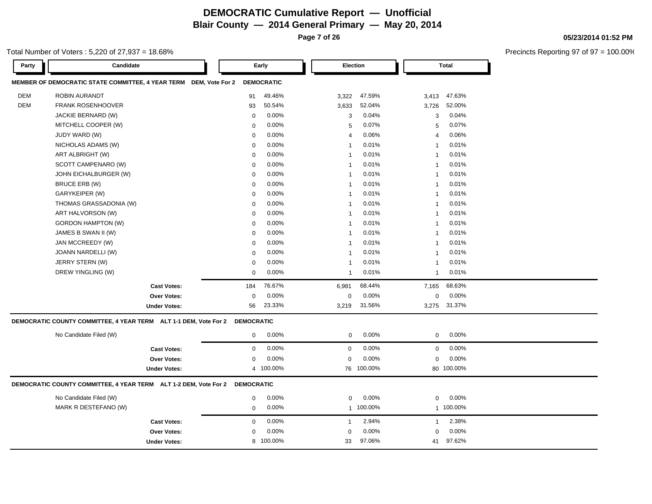**Page 7 of 26**

### Total Number of Voters : 5,220 of 27,937 = 18.68%

| Party      | Candidate                                                         |                     |                   | Early             | Election                |           |                | <b>Total</b> |
|------------|-------------------------------------------------------------------|---------------------|-------------------|-------------------|-------------------------|-----------|----------------|--------------|
|            | MEMBER OF DEMOCRATIC STATE COMMITTEE, 4 YEAR TERM DEM, Vote For 2 |                     |                   | <b>DEMOCRATIC</b> |                         |           |                |              |
| <b>DEM</b> | ROBIN AURANDT                                                     |                     | 91                | 49.46%            | 3,322                   | 47.59%    | 3,413          | 47.63%       |
| <b>DEM</b> | <b>FRANK ROSENHOOVER</b>                                          |                     | 93                | 50.54%            | 3,633                   | 52.04%    | 3,726          | 52.00%       |
|            | JACKIE BERNARD (W)                                                |                     | $\mathbf 0$       | 0.00%             | 3                       | 0.04%     | 3              | 0.04%        |
|            | MITCHELL COOPER (W)                                               |                     | 0                 | 0.00%             | 5                       | 0.07%     | 5              | 0.07%        |
|            | JUDY WARD (W)                                                     |                     | $\mathbf 0$       | 0.00%             | $\overline{4}$          | 0.06%     | $\overline{4}$ | 0.06%        |
|            | NICHOLAS ADAMS (W)                                                |                     | $\mathbf 0$       | 0.00%             | $\overline{1}$          | 0.01%     | $\mathbf{1}$   | 0.01%        |
|            | ART ALBRIGHT (W)                                                  |                     | $\mathbf 0$       | 0.00%             | $\overline{1}$          | 0.01%     | $\mathbf{1}$   | 0.01%        |
|            | SCOTT CAMPENARO (W)                                               |                     | $\mathbf 0$       | 0.00%             | $\overline{1}$          | 0.01%     | $\mathbf{1}$   | 0.01%        |
|            | JOHN EICHALBURGER (W)                                             |                     | $\mathbf 0$       | 0.00%             | $\overline{1}$          | 0.01%     | $\mathbf{1}$   | 0.01%        |
|            | BRUCE ERB (W)                                                     |                     | $\mathbf 0$       | 0.00%             | $\overline{1}$          | 0.01%     | $\mathbf{1}$   | 0.01%        |
|            | GARYKEIPER (W)                                                    |                     | $\mathbf 0$       | 0.00%             | $\overline{\mathbf{1}}$ | 0.01%     | $\mathbf{1}$   | 0.01%        |
|            | THOMAS GRASSADONIA (W)                                            |                     | $\mathbf 0$       | 0.00%             | $\mathbf 1$             | 0.01%     | $\mathbf{1}$   | 0.01%        |
|            | ART HALVORSON (W)                                                 |                     | $\mathbf 0$       | 0.00%             | $\overline{1}$          | 0.01%     | $\mathbf{1}$   | 0.01%        |
|            | <b>GORDON HAMPTON (W)</b>                                         |                     | $\mathbf 0$       | 0.00%             | $\overline{1}$          | 0.01%     | $\mathbf{1}$   | 0.01%        |
|            | JAMES B SWAN II (W)                                               |                     | $\mathbf 0$       | 0.00%             | $\overline{\mathbf{1}}$ | 0.01%     | $\mathbf{1}$   | 0.01%        |
|            | JAN MCCREEDY (W)                                                  |                     | $\mathbf 0$       | 0.00%             | $\overline{1}$          | 0.01%     | $\mathbf{1}$   | 0.01%        |
|            | JOANN NARDELLI (W)                                                |                     | $\mathbf 0$       | 0.00%             | $\overline{1}$          | 0.01%     | $\mathbf{1}$   | 0.01%        |
|            | JERRY STERN (W)                                                   |                     | $\mathbf 0$       | 0.00%             | $\overline{1}$          | 0.01%     | $\mathbf{1}$   | 0.01%        |
|            | DREW YINGLING (W)                                                 |                     | $\mathbf 0$       | 0.00%             | $\overline{1}$          | 0.01%     | $\mathbf{1}$   | 0.01%        |
|            |                                                                   | <b>Cast Votes:</b>  | 184               | 76.67%            | 6,981                   | 68.44%    | 7,165          | 68.63%       |
|            |                                                                   | <b>Over Votes:</b>  | $\mathbf 0$       | 0.00%             | $\mathbf 0$             | 0.00%     | $\mathbf 0$    | 0.00%        |
|            |                                                                   | <b>Under Votes:</b> | 56                | 23.33%            | 3,219                   | 31.56%    | 3,275          | 31.37%       |
|            | DEMOCRATIC COUNTY COMMITTEE, 4 YEAR TERM ALT 1-1 DEM, Vote For 2  |                     | <b>DEMOCRATIC</b> |                   |                         |           |                |              |
|            | No Candidate Filed (W)                                            |                     | $\mathbf 0$       | 0.00%             | $\mathbf 0$             | 0.00%     | $\mathbf 0$    | 0.00%        |
|            |                                                                   | <b>Cast Votes:</b>  | $\mathbf 0$       | 0.00%             | $\mathbf 0$             | 0.00%     | $\mathbf 0$    | 0.00%        |
|            |                                                                   | Over Votes:         | $\mathbf 0$       | 0.00%             | $\mathbf 0$             | 0.00%     | $\mathbf 0$    | 0.00%        |
|            |                                                                   | <b>Under Votes:</b> |                   | 4 100.00%         | 76                      | 100.00%   |                | 80 100.00%   |
|            | DEMOCRATIC COUNTY COMMITTEE, 4 YEAR TERM ALT 1-2 DEM, Vote For 2  |                     | <b>DEMOCRATIC</b> |                   |                         |           |                |              |
|            | No Candidate Filed (W)                                            |                     | $\mathbf 0$       | 0.00%             | $\mathbf 0$             | 0.00%     | $\mathbf 0$    | 0.00%        |
|            | MARK R DESTEFANO (W)                                              |                     | $\mathbf 0$       | 0.00%             |                         | 1 100.00% |                | 1 100.00%    |
|            |                                                                   | <b>Cast Votes:</b>  | $\mathbf 0$       | 0.00%             | $\mathbf{1}$            | 2.94%     | $\mathbf{1}$   | 2.38%        |
|            |                                                                   | <b>Over Votes:</b>  | $\mathbf 0$       | 0.00%             | $\mathbf 0$             | 0.00%     | $\mathbf 0$    | 0.00%        |
|            |                                                                   | <b>Under Votes:</b> | 8                 | 100.00%           | 33                      | 97.06%    | 41             | 97.62%       |
|            |                                                                   |                     |                   |                   |                         |           |                |              |

#### **05/23/2014 01:52 PM**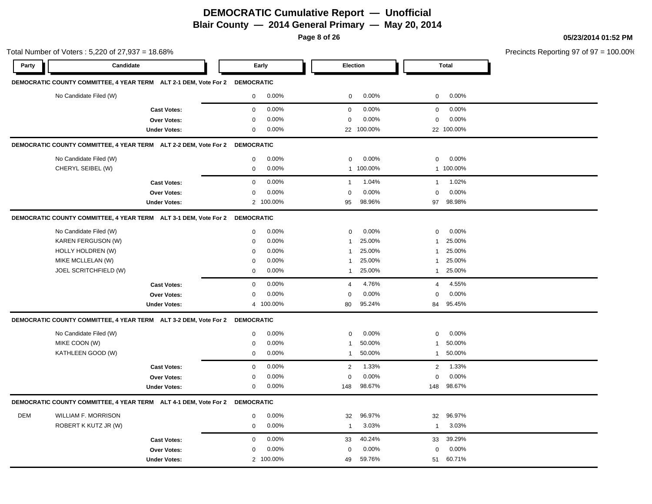**Page 8 of 26**

### **05/23/2014 01:52 PM**

|       | Total Number of Voters: 5,220 of 27,937 = 18.68%                            |                     |                      |                         |                         | Precincts Reporting 97 of 97 = 100.00% |
|-------|-----------------------------------------------------------------------------|---------------------|----------------------|-------------------------|-------------------------|----------------------------------------|
| Party | Candidate                                                                   |                     | Early                | Election                | <b>Total</b>            |                                        |
|       | DEMOCRATIC COUNTY COMMITTEE, 4 YEAR TERM ALT 2-1 DEM, Vote For 2 DEMOCRATIC |                     |                      |                         |                         |                                        |
|       | No Candidate Filed (W)                                                      |                     | 0.00%<br>$\mathbf 0$ | 0.00%<br>$\mathbf 0$    | 0.00%<br>$\mathbf 0$    |                                        |
|       |                                                                             | <b>Cast Votes:</b>  | 0.00%<br>$\mathbf 0$ | 0.00%<br>$\mathbf 0$    | 0.00%<br>$\mathbf 0$    |                                        |
|       |                                                                             | Over Votes:         | 0.00%<br>$\mathbf 0$ | 0.00%<br>0              | 0.00%<br>$\mathbf 0$    |                                        |
|       |                                                                             | <b>Under Votes:</b> | 0.00%<br>$\mathbf 0$ | 22 100.00%              | 22 100.00%              |                                        |
|       | DEMOCRATIC COUNTY COMMITTEE, 4 YEAR TERM ALT 2-2 DEM, Vote For 2 DEMOCRATIC |                     |                      |                         |                         |                                        |
|       | No Candidate Filed (W)                                                      |                     | 0.00%<br>0           | 0.00%<br>$\mathbf 0$    | 0.00%<br>0              |                                        |
|       | CHERYL SEIBEL (W)                                                           |                     | 0.00%<br>0           | 1 100.00%               | 1 100.00%               |                                        |
|       |                                                                             | <b>Cast Votes:</b>  | 0.00%<br>$\mathbf 0$ | 1.04%<br>$\mathbf{1}$   | 1.02%<br>1              |                                        |
|       |                                                                             | <b>Over Votes:</b>  | 0.00%<br>$\mathbf 0$ | 0.00%<br>$\mathbf 0$    | 0.00%<br>$\mathbf 0$    |                                        |
|       |                                                                             | <b>Under Votes:</b> | 2 100.00%            | 98.96%<br>95            | 97 98.98%               |                                        |
|       | DEMOCRATIC COUNTY COMMITTEE, 4 YEAR TERM ALT 3-1 DEM, Vote For 2 DEMOCRATIC |                     |                      |                         |                         |                                        |
|       | No Candidate Filed (W)                                                      |                     | 0.00%<br>0           | 0.00%<br>$\mathbf 0$    | 0.00%<br>$\mathbf 0$    |                                        |
|       | KAREN FERGUSON (W)                                                          |                     | 0.00%<br>$\mathbf 0$ | 25.00%<br>-1            | 25.00%<br>$\mathbf{1}$  |                                        |
|       | HOLLY HOLDREN (W)                                                           |                     | 0.00%<br>0           | 25.00%<br>$\mathbf{1}$  | 25.00%<br>$\mathbf{1}$  |                                        |
|       | MIKE MCLLELAN (W)                                                           |                     | 0.00%<br>0           | 25.00%<br>1             | 25.00%<br>1             |                                        |
|       | JOEL SCRITCHFIELD (W)                                                       |                     | 0.00%<br>0           | 25.00%<br>$\mathbf{1}$  | 25.00%<br>$\mathbf{1}$  |                                        |
|       |                                                                             | <b>Cast Votes:</b>  | 0.00%<br>$\mathbf 0$ | 4.76%<br>$\overline{4}$ | 4.55%<br>$\overline{4}$ |                                        |
|       |                                                                             | Over Votes:         | 0.00%<br>$\mathbf 0$ | 0.00%<br>$\mathbf 0$    | 0.00%<br>$\mathbf 0$    |                                        |
|       |                                                                             | <b>Under Votes:</b> | 4 100.00%            | 95.24%<br>80            | 95.45%<br>84            |                                        |
|       | DEMOCRATIC COUNTY COMMITTEE, 4 YEAR TERM ALT 3-2 DEM, Vote For 2 DEMOCRATIC |                     |                      |                         |                         |                                        |
|       | No Candidate Filed (W)                                                      |                     | 0.00%<br>$\mathbf 0$ | 0.00%<br>$\mathbf 0$    | 0.00%<br>0              |                                        |
|       | MIKE COON (W)                                                               |                     | 0.00%<br>$\mathbf 0$ | 50.00%<br>-1            | 50.00%<br>$\mathbf{1}$  |                                        |
|       | KATHLEEN GOOD (W)                                                           |                     | 0.00%<br>0           | 50.00%<br>$\mathbf{1}$  | 1 50.00%                |                                        |
|       |                                                                             | <b>Cast Votes:</b>  | 0.00%<br>$\mathbf 0$ | 1.33%<br>$\overline{2}$ | 1.33%<br>$\overline{2}$ |                                        |
|       |                                                                             | Over Votes:         | 0.00%<br>0           | 0.00%<br>$\mathbf 0$    | 0.00%<br>$\mathbf 0$    |                                        |
|       |                                                                             | <b>Under Votes:</b> | 0.00%<br>$\mathbf 0$ | 98.67%<br>148           | 148 98.67%              |                                        |
|       | DEMOCRATIC COUNTY COMMITTEE, 4 YEAR TERM ALT 4-1 DEM, Vote For 2 DEMOCRATIC |                     |                      |                         |                         |                                        |
| DEM   | <b>WILLIAM F. MORRISON</b>                                                  |                     | 0.00%<br>0           | 96.97%<br>32            | 96.97%<br>32            |                                        |
|       | ROBERT K KUTZ JR (W)                                                        |                     | 0.00%<br>0           | 3.03%<br>$\overline{1}$ | 3.03%<br>$\mathbf{1}$   |                                        |
|       |                                                                             | <b>Cast Votes:</b>  | $\mathbf 0$<br>0.00% | 33<br>40.24%            | 39.29%<br>33            |                                        |
|       |                                                                             | Over Votes:         | 0.00%<br>0           | 0.00%<br>$\mathbf 0$    | 0.00%<br>$\mathbf 0$    |                                        |
|       |                                                                             | <b>Under Votes:</b> | 2 100.00%            | 59.76%<br>49            | 60.71%<br>51            |                                        |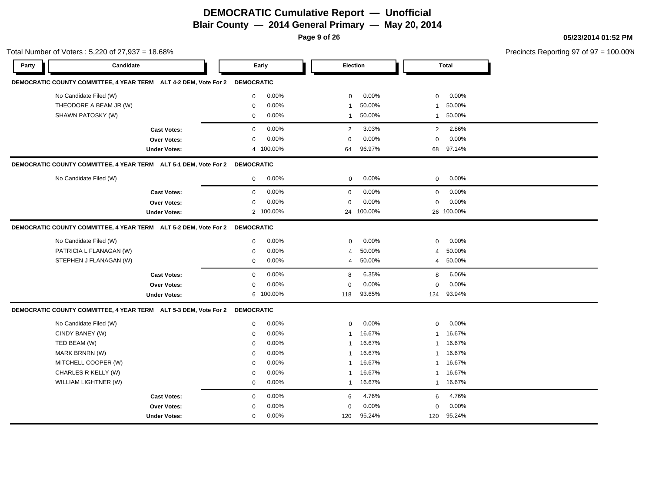**Page 9 of 26**

#### **05/23/2014 01:52 PM**

Total Number of Voters : 5,220 of 27,937 = 18.68% **Party Candidate Early Election Total DEMOCRATIC COUNTY COMMITTEE, 4 YEAR TERM ALT 4-2 DEM, Vote For 2 DEMOCRATIC** No Candidate Filed (W) **0 0.00%** 0 0.00% 0 0.00% 0 0.00% 0 0.00% 0 0.00% 0 0.00% 0 0.00% 0 0.00% 0 0.00% 0 0.00% 0 0.00% 0 0.00% 0 0.00% 0 0.00% 0 0.00% 0 0.00% 0 0.00% 0 0.00% 0 0.00% 0 0.00% 0 0.00% 0 0.00% 0 0.00% 0 0.0 THEODORE A BEAM JR (W)  $0.00\%$   $0.00\%$  1 50.00% 1 50.00% 1 50.00% SHAWN PATOSKY (W) 0 0.00% 1 50.00% 1 50.00% **Cast Votes:** 0 0.00% 2 3.03% 2 2.86% **Over Votes:** 0 0.00% **Under Votes:** 0.00% 0 100.00% 64 68 96.97% 97.14% 0.00% 0 0.00% **DEMOCRATIC COUNTY COMMITTEE, 4 YEAR TERM ALT 5-1 DEM, Vote For 2 DEMOCRATIC** No Candidate Filed (W) 0 0.00% 0 0.00% 0 0.00% **Cast Votes:** 0 0.00% 0 0.00% 0 0.00% **Over Votes:** 0 0.00% Under Votes: 2 100.00% 0.00% 0 100.00% 24 26 0.00% 0 0.00% 100.00% 100.00% **DEMOCRATIC COUNTY COMMITTEE, 4 YEAR TERM ALT 5-2 DEM, Vote For 2 DEMOCRATIC** No Candidate Filed (W)  $0.00\%$  0.00% 0 0.00% 0 0.00% 0 0.00% PATRICIA L FLANAGAN (W)  $0.00\%$   $0.00\%$   $4.50.00\%$   $4.50.00\%$ STEPHEN J FLANAGAN (W)  $0.00\%$   $0.00\%$   $4.50.00\%$   $4.50.00\%$   $4.50.00\%$ **Cast Votes:** 0 0.00% 8 6.35% 8 6.06% **Over Votes:** 0 0.00% **Under Votes:** 0.00% 0 100.00% 93.65% 124 0.00% 0 0.00% 93.65% 93.94% **DEMOCRATIC COUNTY COMMITTEE, 4 YEAR TERM ALT 5-3 DEM, Vote For 2 DEMOCRATIC** No Candidate Filed (W)  $0.00\%$  0.00% 0 0.00% 0 0.00% 0 0.00% CINDY BANEY (W) 0 0.00% 1 16.67% 1 16.67% TED BEAM (W) 0 0.00% 1 16.67% 1 16.67% MARK BRNRN (W) 0 0.00% 1 16.67% 1 16.67% MITCHELL COOPER (W) 0 0.00% 1 16.67% 1 16.67% CHARLES R KELLY (W) 0 0.00% 1 16.67% 1 16.67% WILLIAM LIGHTNER (W) 0 0.00% 1 16.67% 1 16.67% **Cast Votes:** 0 0.00% 6 4.76% 6 4.76% **Over Votes:** 0 **Under Votes:** 0 0.00% 0 120 95.24% 120 120 95.24% 95.24%0.00% 0 0.00%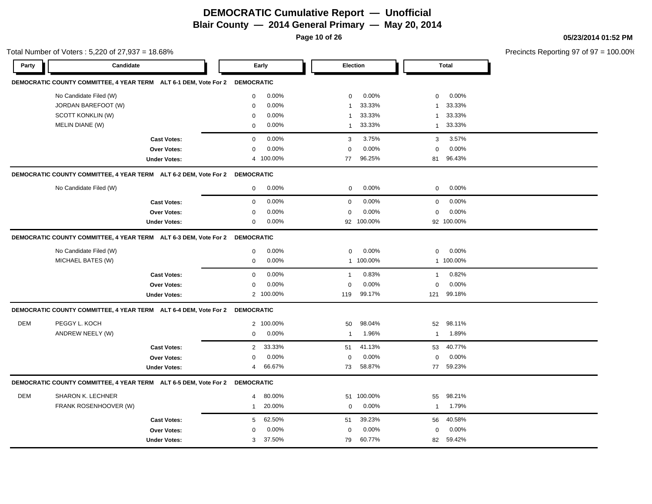**Page 10 of 26**

**05/23/2014 01:52 PM**

|       | Total Number of Voters: 5,220 of 27,937 = 18.68%                            |                     |                          |                         |                        | Precincts Reporting 97 of 97 = 100.00% |
|-------|-----------------------------------------------------------------------------|---------------------|--------------------------|-------------------------|------------------------|----------------------------------------|
| Party | Candidate                                                                   |                     | Early                    | Election                | Total                  |                                        |
|       | DEMOCRATIC COUNTY COMMITTEE, 4 YEAR TERM ALT 6-1 DEM, Vote For 2 DEMOCRATIC |                     |                          |                         |                        |                                        |
|       | No Candidate Filed (W)                                                      |                     | 0.00%<br>$\mathbf{0}$    | 0.00%<br>$\mathbf 0$    | 0.00%<br>$\mathbf 0$   |                                        |
|       | JORDAN BAREFOOT (W)                                                         |                     | 0.00%<br>$\Omega$        | 33.33%                  | 33.33%<br>1            |                                        |
|       | SCOTT KONKLIN (W)                                                           |                     | 0.00%<br>0               | 33.33%<br>1             | 33.33%<br>$\mathbf{1}$ |                                        |
|       | MELIN DIANE (W)                                                             |                     | 0.00%<br>$\mathbf{0}$    | 33.33%<br>$\mathbf{1}$  | 33.33%<br>$\mathbf{1}$ |                                        |
|       |                                                                             | <b>Cast Votes:</b>  | 0.00%<br>0               | 3.75%<br>3              | 3.57%<br>3             |                                        |
|       |                                                                             | Over Votes:         | 0.00%<br>0               | 0.00%<br>0              | 0.00%<br>$\mathbf 0$   |                                        |
|       |                                                                             | <b>Under Votes:</b> | 4 100.00%                | 96.25%<br>77            | 81 96.43%              |                                        |
|       | DEMOCRATIC COUNTY COMMITTEE, 4 YEAR TERM ALT 6-2 DEM, Vote For 2 DEMOCRATIC |                     |                          |                         |                        |                                        |
|       | No Candidate Filed (W)                                                      |                     | 0.00%<br>$\mathbf 0$     | 0.00%<br>$\mathbf 0$    | 0.00%<br>$\mathbf 0$   |                                        |
|       |                                                                             | <b>Cast Votes:</b>  | 0.00%<br>$\mathbf 0$     | 0.00%<br>$\mathbf 0$    | 0.00%<br>$\mathbf 0$   |                                        |
|       |                                                                             | Over Votes:         | 0.00%<br>0               | 0.00%<br>$\mathbf 0$    | 0.00%<br>$\mathbf 0$   |                                        |
|       |                                                                             | <b>Under Votes:</b> | 0.00%<br>0               | 92 100.00%              | 92 100.00%             |                                        |
|       | DEMOCRATIC COUNTY COMMITTEE, 4 YEAR TERM ALT 6-3 DEM, Vote For 2 DEMOCRATIC |                     |                          |                         |                        |                                        |
|       | No Candidate Filed (W)                                                      |                     | 0<br>0.00%               | 0.00%<br>0              | 0.00%<br>$\mathbf 0$   |                                        |
|       | MICHAEL BATES (W)                                                           |                     | 0.00%<br>0               | 1 100.00%               | 1 100.00%              |                                        |
|       |                                                                             | <b>Cast Votes:</b>  | 0.00%<br>$\mathbf{0}$    | 0.83%<br>$\overline{1}$ | 0.82%<br>$\mathbf{1}$  |                                        |
|       |                                                                             | Over Votes:         | 0.00%<br>$\mathbf{0}$    | 0.00%<br>$\mathbf 0$    | 0.00%<br>$\mathbf 0$   |                                        |
|       |                                                                             | <b>Under Votes:</b> | 2 100.00%                | 99.17%<br>119           | 99.18%<br>121          |                                        |
|       | DEMOCRATIC COUNTY COMMITTEE, 4 YEAR TERM ALT 6-4 DEM, Vote For 2 DEMOCRATIC |                     |                          |                         |                        |                                        |
| DEM   | PEGGY L. KOCH                                                               |                     | 2 100.00%                | 98.04%<br>50            | 98.11%<br>52           |                                        |
|       | ANDREW NEELY (W)                                                            |                     | 0.00%<br>0               | 1.96%<br>$\mathbf{1}$   | 1.89%<br>$\mathbf{1}$  |                                        |
|       |                                                                             | <b>Cast Votes:</b>  | 33.33%<br>$\overline{2}$ | 41.13%<br>51            | 40.77%<br>53           |                                        |
|       |                                                                             | Over Votes:         | 0.00%<br>0               | 0.00%<br>$\mathbf 0$    | 0.00%<br>0             |                                        |
|       |                                                                             | <b>Under Votes:</b> | 66.67%<br>4              | 58.87%<br>73            | 77 59.23%              |                                        |
|       | DEMOCRATIC COUNTY COMMITTEE, 4 YEAR TERM ALT 6-5 DEM, Vote For 2 DEMOCRATIC |                     |                          |                         |                        |                                        |
| DEM   | SHARON K. LECHNER                                                           |                     | 80.00%<br>$\overline{4}$ | 51 100.00%              | 98.21%<br>55           |                                        |
|       | FRANK ROSENHOOVER (W)                                                       |                     | 20.00%<br>$\mathbf{1}$   | 0.00%<br>$\mathbf 0$    | 1.79%<br>$\mathbf{1}$  |                                        |
|       |                                                                             | <b>Cast Votes:</b>  | 62.50%<br>5              | 39.23%<br>51            | 40.58%<br>56           |                                        |
|       |                                                                             | Over Votes:         | 0.00%<br>$\Omega$        | 0.00%<br>$\mathbf 0$    | 0.00%<br>$\mathbf 0$   |                                        |
|       |                                                                             |                     |                          |                         |                        |                                        |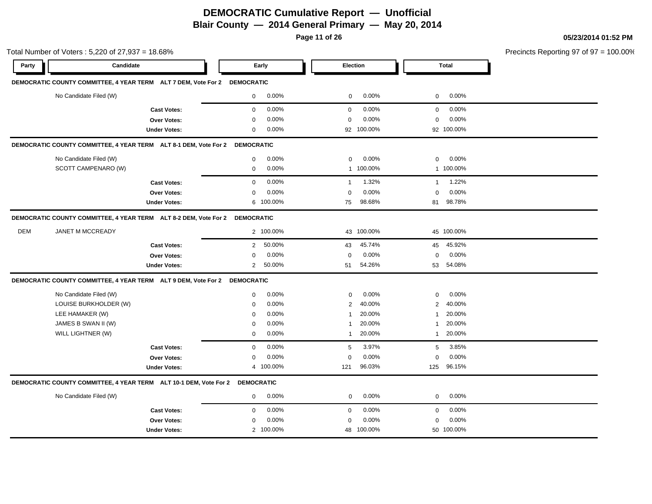**Page 11 of 26**

|            | Total Number of Voters: 5,220 of 27,937 = 18.68%                             |                     |                   |           |                |            |                |              | Precincts Reporting 97 of 97 = |
|------------|------------------------------------------------------------------------------|---------------------|-------------------|-----------|----------------|------------|----------------|--------------|--------------------------------|
| Party      | Candidate                                                                    |                     |                   | Early     | Election       |            |                | <b>Total</b> |                                |
|            | DEMOCRATIC COUNTY COMMITTEE, 4 YEAR TERM ALT 7 DEM, Vote For 2 DEMOCRATIC    |                     |                   |           |                |            |                |              |                                |
|            | No Candidate Filed (W)                                                       |                     | $\mathbf{0}$      | $0.00\%$  | 0              | 0.00%      | $\mathbf{0}$   | 0.00%        |                                |
|            |                                                                              | <b>Cast Votes:</b>  | $\mathbf{0}$      | 0.00%     | $\mathbf 0$    | 0.00%      | $\mathbf 0$    | 0.00%        |                                |
|            |                                                                              | Over Votes:         | $\mathbf 0$       | 0.00%     | $\mathbf 0$    | 0.00%      | $\mathbf 0$    | 0.00%        |                                |
|            |                                                                              | <b>Under Votes:</b> | 0                 | 0.00%     |                | 92 100.00% |                | 92 100.00%   |                                |
|            | DEMOCRATIC COUNTY COMMITTEE, 4 YEAR TERM ALT 8-1 DEM, Vote For 2             |                     | <b>DEMOCRATIC</b> |           |                |            |                |              |                                |
|            | No Candidate Filed (W)                                                       |                     | $\mathbf 0$       | 0.00%     | 0              | 0.00%      | 0              | 0.00%        |                                |
|            | SCOTT CAMPENARO (W)                                                          |                     | 0                 | 0.00%     |                | 1 100.00%  |                | 1 100.00%    |                                |
|            |                                                                              | <b>Cast Votes:</b>  | $\mathbf 0$       | 0.00%     | $\overline{1}$ | 1.32%      | $\mathbf{1}$   | 1.22%        |                                |
|            |                                                                              | Over Votes:         | $\mathbf 0$       | 0.00%     | $\mathbf 0$    | 0.00%      | $\mathbf 0$    | 0.00%        |                                |
|            |                                                                              | <b>Under Votes:</b> |                   | 6 100.00% | 75             | 98.68%     | 81             | 98.78%       |                                |
|            | DEMOCRATIC COUNTY COMMITTEE, 4 YEAR TERM ALT 8-2 DEM, Vote For 2             |                     | <b>DEMOCRATIC</b> |           |                |            |                |              |                                |
| <b>DEM</b> | JANET M MCCREADY                                                             |                     |                   | 2 100.00% |                | 43 100.00% |                | 45 100.00%   |                                |
|            |                                                                              | <b>Cast Votes:</b>  | $\overline{2}$    | 50.00%    | 43             | 45.74%     | 45             | 45.92%       |                                |
|            |                                                                              | Over Votes:         | $\Omega$          | 0.00%     | $\mathbf 0$    | 0.00%      | $\Omega$       | 0.00%        |                                |
|            |                                                                              | <b>Under Votes:</b> | $\overline{2}$    | 50.00%    | 51             | 54.26%     | 53             | 54.08%       |                                |
|            | DEMOCRATIC COUNTY COMMITTEE, 4 YEAR TERM ALT 9 DEM, Vote For 2 DEMOCRATIC    |                     |                   |           |                |            |                |              |                                |
|            | No Candidate Filed (W)                                                       |                     | $\mathbf 0$       | 0.00%     | $\mathbf 0$    | 0.00%      | $\mathbf 0$    | 0.00%        |                                |
|            | LOUISE BURKHOLDER (W)                                                        |                     | 0                 | 0.00%     | 2              | 40.00%     | $\overline{2}$ | 40.00%       |                                |
|            | LEE HAMAKER (W)                                                              |                     | $\Omega$          | 0.00%     | -1             | 20.00%     |                | 20.00%       |                                |
|            | JAMES B SWAN II (W)                                                          |                     | $\Omega$          | 0.00%     | $\mathbf{1}$   | 20.00%     |                | 20.00%       |                                |
|            | WILL LIGHTNER (W)                                                            |                     | 0                 | 0.00%     | $\mathbf{1}$   | 20.00%     | -1             | 20.00%       |                                |
|            |                                                                              | <b>Cast Votes:</b>  | $\mathbf 0$       | 0.00%     | 5              | 3.97%      | 5              | 3.85%        |                                |
|            |                                                                              | Over Votes:         | 0                 | 0.00%     | $\mathbf 0$    | 0.00%      | $\mathbf 0$    | 0.00%        |                                |
|            |                                                                              | <b>Under Votes:</b> |                   | 4 100.00% | 121            | 96.03%     | 125            | 96.15%       |                                |
|            | DEMOCRATIC COUNTY COMMITTEE, 4 YEAR TERM ALT 10-1 DEM, Vote For 2 DEMOCRATIC |                     |                   |           |                |            |                |              |                                |
|            | No Candidate Filed (W)                                                       |                     | 0                 | 0.00%     | 0              | 0.00%      | $\mathbf 0$    | 0.00%        |                                |
|            |                                                                              | <b>Cast Votes:</b>  | $\mathbf 0$       | 0.00%     | $\mathbf 0$    | 0.00%      | $\mathbf 0$    | 0.00%        |                                |
|            |                                                                              | <b>Over Votes:</b>  | $\mathbf 0$       | 0.00%     | $\mathbf 0$    | 0.00%      | 0              | 0.00%        |                                |
|            |                                                                              |                     |                   |           |                |            |                |              |                                |

 $= 100.00\%$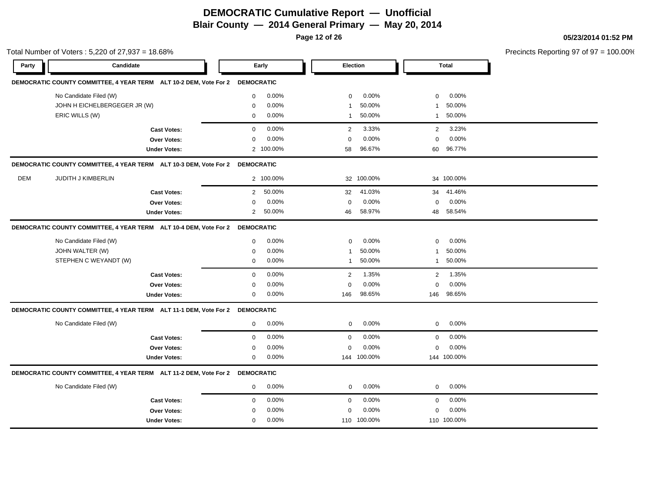**Page 12 of 26**

Total Number of Voters : 5,220 of 27,937 = 18.68%

#### **05/23/2014 01:52 PM**

| Party | Candidate                                                                    |                     |                   | Early     | Election     |             |                | <b>Total</b> |  |
|-------|------------------------------------------------------------------------------|---------------------|-------------------|-----------|--------------|-------------|----------------|--------------|--|
|       | DEMOCRATIC COUNTY COMMITTEE, 4 YEAR TERM ALT 10-2 DEM, Vote For 2            |                     | <b>DEMOCRATIC</b> |           |              |             |                |              |  |
|       | No Candidate Filed (W)                                                       |                     | $\mathbf 0$       | 0.00%     | $\mathbf 0$  | 0.00%       | $\mathbf 0$    | 0.00%        |  |
|       | JOHN H EICHELBERGEGER JR (W)                                                 |                     | $\mathbf 0$       | 0.00%     | $\mathbf{1}$ | 50.00%      | -1             | 50.00%       |  |
|       | ERIC WILLS (W)                                                               |                     | 0                 | 0.00%     | $\mathbf{1}$ | 50.00%      | 1              | 50.00%       |  |
|       |                                                                              | <b>Cast Votes:</b>  | $\mathbf 0$       | 0.00%     | 2            | 3.33%       | $\overline{2}$ | 3.23%        |  |
|       |                                                                              | Over Votes:         | $\mathbf 0$       | 0.00%     | 0            | 0.00%       | 0              | 0.00%        |  |
|       |                                                                              | <b>Under Votes:</b> |                   | 2 100.00% | 58           | 96.67%      | 60             | 96.77%       |  |
|       | DEMOCRATIC COUNTY COMMITTEE, 4 YEAR TERM ALT 10-3 DEM, Vote For 2            |                     | <b>DEMOCRATIC</b> |           |              |             |                |              |  |
| DEM   | <b>JUDITH J KIMBERLIN</b>                                                    |                     |                   | 2 100.00% |              | 32 100.00%  |                | 34 100.00%   |  |
|       |                                                                              | <b>Cast Votes:</b>  | $\overline{2}$    | 50.00%    | 32           | 41.03%      | 34             | 41.46%       |  |
|       |                                                                              | Over Votes:         | $\Omega$          | 0.00%     | $\Omega$     | 0.00%       | $\mathbf 0$    | 0.00%        |  |
|       |                                                                              | <b>Under Votes:</b> | $\overline{2}$    | 50.00%    | 46           | 58.97%      | 48             | 58.54%       |  |
|       | DEMOCRATIC COUNTY COMMITTEE, 4 YEAR TERM ALT 10-4 DEM, Vote For 2 DEMOCRATIC |                     |                   |           |              |             |                |              |  |
|       | No Candidate Filed (W)                                                       |                     | $\mathbf 0$       | 0.00%     | $\mathbf 0$  | 0.00%       | $\mathbf 0$    | 0.00%        |  |
|       | JOHN WALTER (W)                                                              |                     | 0                 | 0.00%     | $\mathbf{1}$ | 50.00%      | $\mathbf{1}$   | 50.00%       |  |
|       | STEPHEN C WEYANDT (W)                                                        |                     | $\mathbf 0$       | 0.00%     | $\mathbf{1}$ | 50.00%      | $\mathbf{1}$   | 50.00%       |  |
|       |                                                                              | <b>Cast Votes:</b>  | $\mathbf 0$       | 0.00%     | 2            | 1.35%       | $\overline{2}$ | 1.35%        |  |
|       |                                                                              | <b>Over Votes:</b>  | $\Omega$          | 0.00%     | $\mathbf 0$  | 0.00%       | $\mathbf 0$    | 0.00%        |  |
|       |                                                                              | <b>Under Votes:</b> | 0                 | 0.00%     | 146          | 98.65%      | 146            | 98.65%       |  |
|       | DEMOCRATIC COUNTY COMMITTEE, 4 YEAR TERM ALT 11-1 DEM, Vote For 2            |                     | <b>DEMOCRATIC</b> |           |              |             |                |              |  |
|       | No Candidate Filed (W)                                                       |                     | $\mathbf 0$       | 0.00%     | $\mathbf 0$  | 0.00%       | $\mathbf 0$    | 0.00%        |  |
|       |                                                                              | <b>Cast Votes:</b>  | $\mathbf 0$       | 0.00%     | $\mathbf 0$  | 0.00%       | 0              | 0.00%        |  |
|       |                                                                              | Over Votes:         | $\Omega$          | 0.00%     | $\mathbf 0$  | 0.00%       | $\mathbf 0$    | 0.00%        |  |
|       |                                                                              | <b>Under Votes:</b> | $\mathbf 0$       | 0.00%     |              | 144 100.00% |                | 144 100.00%  |  |
|       | DEMOCRATIC COUNTY COMMITTEE, 4 YEAR TERM ALT 11-2 DEM, Vote For 2 DEMOCRATIC |                     |                   |           |              |             |                |              |  |
|       | No Candidate Filed (W)                                                       |                     | $\mathbf 0$       | 0.00%     | $\mathbf 0$  | 0.00%       | 0              | 0.00%        |  |
|       |                                                                              | <b>Cast Votes:</b>  | $\mathbf 0$       | 0.00%     | $\mathbf 0$  | 0.00%       | $\mathbf 0$    | 0.00%        |  |
|       |                                                                              | <b>Over Votes:</b>  | $\Omega$          | 0.00%     | $\mathbf 0$  | 0.00%       | $\mathbf 0$    | 0.00%        |  |
|       |                                                                              | <b>Under Votes:</b> | $\mathbf 0$       | 0.00%     |              | 110 100.00% |                | 110 100.00%  |  |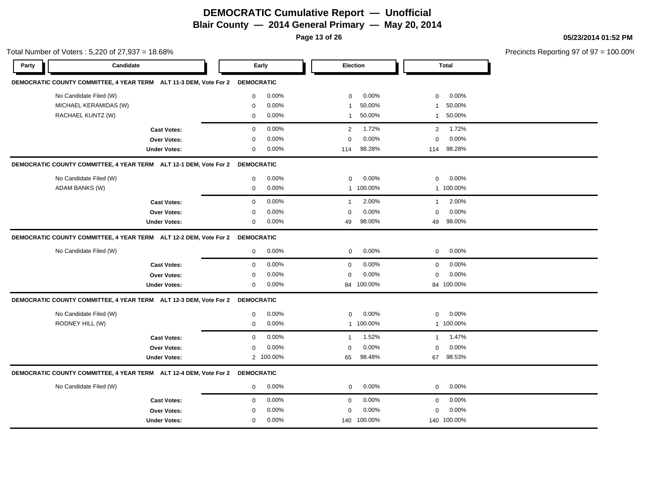**Page 13 of 26**

#### **05/23/2014 01:52 PM**

Total Number of Voters : 5,220 of 27,937 = 18.68% Precincts Reporting 97 of 97 = 100.00% **Party Candidate Early Election Total DEMOCRATIC COUNTY COMMITTEE, 4 YEAR TERM ALT 11-3 DEM, Vote For 2 DEMOCRATIC** No Candidate Filed (W) **0 0.00%** 0 0.00% 0 0.00% 0 0.00% 0 0.00% 0 0.00% 0 0.00% 0 0.00% 0 0.00% 0 0.00% 0 0.00% 0 0.00% 0 0.00% 0 0.00% 0 0.00% 0 0.00% 0 0.00% 0 0.00% 0 0.00% 0 0.00% 0 0.00% 0 0.00% 0 0.00% 0 0.00% 0 0.0 MICHAEL KERAMIDAS (W) 0 0.00% 1 50.00% 1 50.00% RACHAEL KUNTZ (W) 0 0.00% 1 50.00% 1 50.00% **Cast Votes:** 0 0.00% 2 1.72% 2 1.72% **Over Votes:** 0 0.00% **Under Votes:** 0 0.00% 0 114 98.28% 114 114 98.28% 98.28% 0.00% 0 0.00% **DEMOCRATIC COUNTY COMMITTEE, 4 YEAR TERM ALT 12-1 DEM, Vote For 2 DEMOCRATIC** No Candidate Filed (W) 0 0.00% 0 0.00% 0 0.00% ADAM BANKS (W) 0 0.00% 1 100.00% 1 100.00% **Cast Votes:** 0 0.00% 1 2.00% 1 2.00% **Over Votes:** 0 0.00% **Under Votes:** 0 0.00% 0 0.00% 49 98.00% 49 98.00% 0.00% 0 98.00% 98.00% 0.00% **DEMOCRATIC COUNTY COMMITTEE, 4 YEAR TERM ALT 12-2 DEM, Vote For 2 DEMOCRATIC** No Candidate Filed (W) **0 0.00%** 0 0.00% 0 0.00% 0 0.00% 0 0.00% 0 0.00% 0 0.00% 0 0.00% 0 0.00% 0 0.00% 0 0.00% 0 0.00% 0 0.00% 0 0.00% 0 0.00% 0 0.00% 0 0.00% 0 0.00% 0 0.00% 0 0.00% 0 0.00% 0 0.00% 0 0.00% 0 0.00% 0 0.0 **Cast Votes:** 0 0.00% 0 0.00% 0 0.00% **Over Votes:** 0 **Under Votes:** 0 0.00% 0 0.00% 84 84 0.00% 0 0.00% 100.00% 100.00% **DEMOCRATIC COUNTY COMMITTEE, 4 YEAR TERM ALT 12-3 DEM, Vote For 2 DEMOCRATIC** No Candidate Filed (W)  $0.00\%$  0.00% 0 0.00% 0 0.00% 0 0.00% 0 0.00% 0 0.00% 0 0.00% 0 0.00% 0 0.00% 0 0.00% 0 0.00% 0 0.00% 0 0.00% 0 0.00% 0 0.00% 0 0.00% 0 0.00% 0 0.00% 0 0.00% 0 0.00% 0 0.00% 0 0.00% 0 0.00% 0 0.00% RODNEY HILL (W) 0 0.00% 1 100.00% 1 100.00% **Cast Votes:** 0 0.00% 1 1.52% 1 1.47% **Over Votes:** 0 0.00% **Under Votes:** 0.00% 0 2 100.00% 65 98.48% 65 67 98.48% 98.53% 0.00% 0 0.00% **DEMOCRATIC COUNTY COMMITTEE, 4 YEAR TERM ALT 12-4 DEM, Vote For 2 DEMOCRATIC** No Candidate Filed (W)  $0.00\%$  0.00% 0 0.00% 0 0.00% 0 0.00% **Cast Votes:** 0 0.00% 0 0.00% 0 0.00% **Over Votes:** 0 0.00% **Under Votes:** 0 0.00% 0 0.00% 140 140 0.00% 0 0.00% 100.00% 100.00%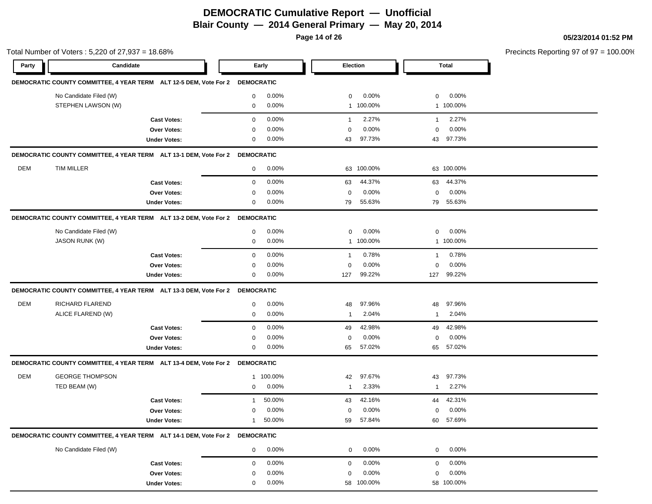**Page 14 of 26**

#### **05/23/2014 01:52 PM**

|            | Total Number of Voters: 5,220 of 27,937 = 18.68%                             |                     |                |          |                |            |                |              | Precincts Reporting 97 of 97 = 100.00% |
|------------|------------------------------------------------------------------------------|---------------------|----------------|----------|----------------|------------|----------------|--------------|----------------------------------------|
| Party      | Candidate                                                                    |                     |                | Early    | Election       |            |                | <b>Total</b> |                                        |
|            | DEMOCRATIC COUNTY COMMITTEE, 4 YEAR TERM ALT 12-5 DEM, Vote For 2 DEMOCRATIC |                     |                |          |                |            |                |              |                                        |
|            | No Candidate Filed (W)                                                       |                     | 0              | $0.00\%$ | $\mathbf 0$    | 0.00%      | $\mathbf 0$    | 0.00%        |                                        |
|            | STEPHEN LAWSON (W)                                                           |                     | $\overline{0}$ | 0.00%    |                | 1 100.00%  |                | 1 100.00%    |                                        |
|            |                                                                              | <b>Cast Votes:</b>  | $\mathbf 0$    | 0.00%    | $\mathbf{1}$   | 2.27%      | $\overline{1}$ | 2.27%        |                                        |
|            |                                                                              | <b>Over Votes:</b>  | 0              | 0.00%    | $\mathbf 0$    | 0.00%      | $\mathbf 0$    | $0.00\%$     |                                        |
|            |                                                                              | <b>Under Votes:</b> | $\mathbf 0$    | $0.00\%$ | 43             | 97.73%     | 43             | 97.73%       |                                        |
|            | DEMOCRATIC COUNTY COMMITTEE, 4 YEAR TERM ALT 13-1 DEM, Vote For 2 DEMOCRATIC |                     |                |          |                |            |                |              |                                        |
| <b>DEM</b> | <b>TIM MILLER</b>                                                            |                     | $\mathbf{0}$   | 0.00%    |                | 63 100.00% |                | 63 100.00%   |                                        |
|            |                                                                              | <b>Cast Votes:</b>  | 0              | 0.00%    | 63             | 44.37%     | 63             | 44.37%       |                                        |
|            |                                                                              | Over Votes:         | $\mathbf 0$    | 0.00%    | 0              | 0.00%      | 0              | 0.00%        |                                        |
|            |                                                                              | <b>Under Votes:</b> | 0              | $0.00\%$ | 79             | 55.63%     | 79             | 55.63%       |                                        |
|            | DEMOCRATIC COUNTY COMMITTEE, 4 YEAR TERM ALT 13-2 DEM, Vote For 2 DEMOCRATIC |                     |                |          |                |            |                |              |                                        |
|            | No Candidate Filed (W)                                                       |                     | 0              | $0.00\%$ | 0              | 0.00%      | 0              | $0.00\%$     |                                        |
|            | <b>JASON RUNK (W)</b>                                                        |                     | 0              | 0.00%    |                | 1 100.00%  |                | 1 100.00%    |                                        |
|            |                                                                              | <b>Cast Votes:</b>  | $\mathbf 0$    | 0.00%    | $\overline{1}$ | 0.78%      | $\mathbf{1}$   | 0.78%        |                                        |
|            |                                                                              | Over Votes:         | $\mathbf 0$    | 0.00%    | 0              | 0.00%      | 0              | 0.00%        |                                        |
|            |                                                                              | <b>Under Votes:</b> | 0              | 0.00%    | 127            | 99.22%     | 127            | 99.22%       |                                        |
|            | DEMOCRATIC COUNTY COMMITTEE, 4 YEAR TERM ALT 13-3 DEM, Vote For 2 DEMOCRATIC |                     |                |          |                |            |                |              |                                        |
| <b>DEM</b> | RICHARD FLAREND                                                              |                     | 0              | 0.00%    | 48             | 97.96%     | 48             | 97.96%       |                                        |
|            | ALICE FLAREND (W)                                                            |                     | $\mathbf 0$    | 0.00%    | -1             | 2.04%      | $\mathbf{1}$   | 2.04%        |                                        |
|            |                                                                              | <b>Cast Votes:</b>  | $\mathbf 0$    | 0.00%    | 49             | 42.98%     | 49             | 42.98%       |                                        |
|            |                                                                              | Over Votes:         | 0              | 0.00%    | 0              | 0.00%      | 0              | 0.00%        |                                        |
|            |                                                                              | <b>Under Votes:</b> | 0              | $0.00\%$ | 65             | 57.02%     | 65             | 57.02%       |                                        |
|            | DEMOCRATIC COUNTY COMMITTEE, 4 YEAR TERM ALT 13-4 DEM, Vote For 2 DEMOCRATIC |                     |                |          |                |            |                |              |                                        |
| DEM        | <b>GEORGE THOMPSON</b>                                                       |                     | $\mathbf{1}$   | 100.00%  | 42             | 97.67%     | 43             | 97.73%       |                                        |
|            | TED BEAM (W)                                                                 |                     | $\mathbf 0$    | 0.00%    | -1             | 2.33%      | $\mathbf{1}$   | 2.27%        |                                        |
|            |                                                                              | <b>Cast Votes:</b>  | 1              | 50.00%   | 43             | 42.16%     | 44             | 42.31%       |                                        |
|            |                                                                              | <b>Over Votes:</b>  | 0              | 0.00%    | 0              | 0.00%      | $\mathbf 0$    | 0.00%        |                                        |
|            |                                                                              | <b>Under Votes:</b> | 1              | 50.00%   | 59             | 57.84%     |                | 60 57.69%    |                                        |
|            | DEMOCRATIC COUNTY COMMITTEE, 4 YEAR TERM ALT 14-1 DEM, Vote For 2 DEMOCRATIC |                     |                |          |                |            |                |              |                                        |
|            | No Candidate Filed (W)                                                       |                     | $\mathbf{0}$   | $0.00\%$ | $\overline{0}$ | 0.00%      | $\mathbf{0}$   | $0.00\%$     |                                        |
|            |                                                                              | <b>Cast Votes:</b>  | $\mathbf 0$    | 0.00%    | 0              | 0.00%      | $\mathbf 0$    | 0.00%        |                                        |
|            |                                                                              | Over Votes:         | 0              | 0.00%    | 0              | 0.00%      | 0              | 0.00%        |                                        |
|            |                                                                              | <b>Under Votes:</b> | 0              | 0.00%    |                | 58 100.00% |                | 58 100.00%   |                                        |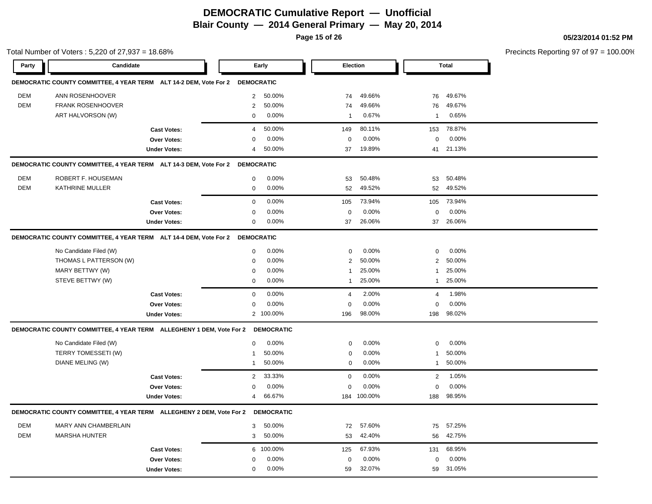**Page 15 of 26**

Total Number of Voters : 5,220 of 27,937 = 18.68%

#### **05/23/2014 01:52 PM**

Precincts Reporting 97 of 97 = 100.00%

**Party Candidate Early Election Total DEMOCRATIC COUNTY COMMITTEE, 4 YEAR TERM ALT 14-2 DEM, Vote For 2 DEMOCRATIC** DEM ANN ROSENHOOVER 2 50.00% 74 49.66% 76 49.67% DEM FRANK ROSENHOOVER 2 50.00% 74 49.66% 76 49.67% ART HALVORSON (W) 0 0.00% 1 0.67% 1 0.65% **Cast Votes:** 4 50.00% 149 80.11% 153 78.87% **Over Votes:** 0 0.00% Under Votes: 4 50.00% 0.00% 0 37 19.89% 37 41 19.89% 21.13% 0.00% 0 0.00% **DEMOCRATIC COUNTY COMMITTEE, 4 YEAR TERM ALT 14-3 DEM, Vote For 2 DEMOCRATIC** DEM ROBERT F. HOUSEMAN 0 0.00% 53 50.48% 53 50.48% DEM KATHRINE MULLER 0 0.00% 52 49.52% 52 49.52% **Cast Votes:** 0 0.00% 105 73.94% 105 73.94% **Over Votes:** 0 0.00% **Under Votes:** 0 0.00% 0 0.00% 37 37 0.00% 0 26.06% 26.06% 0.00% **DEMOCRATIC COUNTY COMMITTEE, 4 YEAR TERM ALT 14-4 DEM, Vote For 2 DEMOCRATIC** No Candidate Filed (W)  $0.00\%$  0.00% 0 0.00% 0 0.00% 0 0.00% THOMAS L PATTERSON (W)  $0.00\%$   $0.00\%$   $2.50.00\%$   $2.50.00\%$ MARY BETTWY (W) 0 0.00% 1 25.00% 1 25.00% STEVE BETTWY (W) 8 0 0.00% 1 25.00% 1 25.00% 1 25.00% 1 25.00% 1 25.00% 1 25.00% 1 25.00% 1 25.00% 1 25.00% 1 25.00% 1 25.00% 1 25.00% 1 25.00% 1 25.00% 1 25.00% 1 25.00% 1 25.00% 1 25.00% 1 25.00% 1 25.00% 1 25.00% 1 25.0 **Cast Votes:** 0 0.00% 4 2.00% 4 1.98% **Over Votes:** 0 0.00% **Under Votes:** 0.00% 0 100.00% 98.00% 198 0.00% 0 98.00% 98.02% 0.00% **DEMOCRATIC COUNTY COMMITTEE, 4 YEAR TERM ALLEGHENY 1 DEM, Vote For 2 DEMOCRATIC** No Candidate Filed (W) 0 0.00% 0 0.00% 0 0.00% TERRY TOMESSETI (W) 1 50.00% 1 50.00% 0 0.00% 1 50.00% 1 50.00% DIANE MELING (W) 1 50.00% 0 0.00% 1 50.00% **Cast Votes:** 2 33.33% 0 0.00% 2 1.05% **Over Votes:** 0 0.00% Under Votes: 4 66.67% 0.00% 0 66.67% 184 188 100.00% 0.00% 0 0.00% 98.95% **DEMOCRATIC COUNTY COMMITTEE, 4 YEAR TERM ALLEGHENY 2 DEM, Vote For 2 DEMOCRATIC** DEM MARY ANN CHAMBERLAIN 3 50.00% 72 57.60% 75 57.25% DEM MARSHA HUNTER 3 50.00% 53 42.40% 56 42.75% **Cast Votes:** 6 100.00% 125 67.93% 131 68.95% **Over Votes:** 0 0.00% 0 0.00% 0 0.00%

59 32.07%

59 59 32.07% 31.05%

**Under Votes:** 0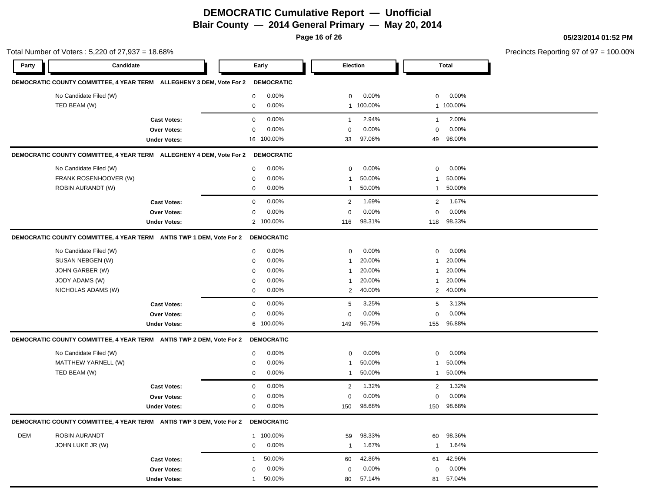**Page 16 of 26**

#### **05/23/2014 01:52 PM**

Total Number of Voters : 5,220 of 27,937 = 18.68% Precincts Reporting 97 of 97 = 100.00% **Party Candidate Early Election Total DEMOCRATIC COUNTY COMMITTEE, 4 YEAR TERM ALLEGHENY 3 DEM, Vote For 2 DEMOCRATIC** No Candidate Filed (W) **0 0.00%** 0 0.00% 0 0.00% 0 0.00% 0 0.00% 0 0.00% 0 0.00% 0 0.00% 0 0.00% 0 0.00% 0 0.00% 0 0.00% 0 0.00% 0 0.00% 0 0.00% 0 0.00% 0 0.00% 0 0.00% 0 0.00% 0 0.00% 0 0.00% 0 0.00% 0 0.00% 0 0.00% 0 0.0 TED BEAM (W) 0 0.00% 1 100.00% 1 100.00% **Cast Votes:** 0 0.00% 1 2.94% 1 2.00% **Over Votes:** 0 0.00% **Under Votes:** 16 100.00% 0.00% 0 33 97.06% 49 0.00% 0 97.06% 98.00% 0.00% **DEMOCRATIC COUNTY COMMITTEE, 4 YEAR TERM ALLEGHENY 4 DEM, Vote For 2 DEMOCRATIC** No Candidate Filed (W) 0 0.00% 0 0.00% 0 0.00% FRANK ROSENHOOVER (W)  $0.00\%$  0.00% 1 50.00% 1 50.00% 1 50.00% ROBIN AURANDT (W) 0 0.00% 1 50.00% 1 50.00% **Cast Votes:** 0 0.00% 2 1.69% 2 1.67% **Over Votes:** 0 0.00% **Under Votes:** 0.00% 0 100.00% 98.31% 118 0.00% 0 98.31% 98.33% 0.00% **DEMOCRATIC COUNTY COMMITTEE, 4 YEAR TERM ANTIS TWP 1 DEM, Vote For 2 DEMOCRATIC** No Candidate Filed (W)  $0.00\%$  0.00% 0 0.00% 0 0.00% 0 0.00% SUSAN NEBGEN (W) 0 0.00% 1 20.00% 1 20.00% JOHN GARBER (W) 0 0.00% 1 20.00% 1 20.00% JODY ADAMS (W) 0 0.00% 1 20.00% 1 20.00% NICHOLAS ADAMS (W) 0 0.00% 2 40.00% 2 40.00% **Cast Votes:** 0 0.00% 5 3.25% 5 3.13% **Over Votes:** 0 0.00% **Under Votes:** 0.00% 0 100.00% 96.75% 155 0.00% 0 0.00% 96.75% 96.88% **DEMOCRATIC COUNTY COMMITTEE, 4 YEAR TERM ANTIS TWP 2 DEM, Vote For 2 DEMOCRATIC** No Candidate Filed (W) 0 0.00% 0 0.00% 0 0.00% MATTHEW YARNELL (W) 0 0.00% 1 50.00% 1 50.00% TED BEAM (W) 0 0.00% 1 50.00% 1 50.00% **Cast Votes:** 0 0.00% 2 1.32% 2 1.32% **Over Votes:** 0 0.00% **Under Votes:** 0 0.00% 0 0.00% 150 150 0.00% 0 0.00% 98.68% 98.68% **DEMOCRATIC COUNTY COMMITTEE, 4 YEAR TERM ANTIS TWP 3 DEM, Vote For 2 DEMOCRATIC** DEM ROBIN AURANDT 1 100.00% 59 98.33% 60 98.36% JOHN LUKE JR (W) 0 0.00% 1 1.67% 1 1.64% **Cast Votes:** 1 50.00% 60 42.86% 61 42.96% **Over Votes:** 0 Under Votes: 1 50.00% 0.00% 80 57.14% 0.00% 80 81 57.14% 57.04%0.00% 0 0.00%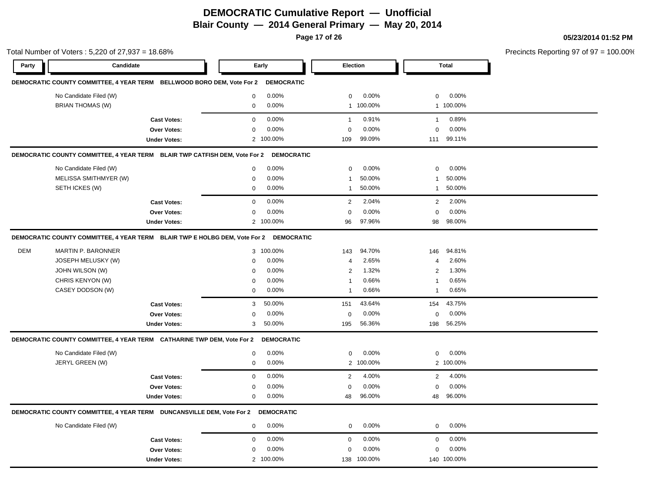**Page 17 of 26**

#### **05/23/2014 01:52 PM**

Total Number of Voters : 5,220 of 27,937 = 18.68% **Party Candidate Early Election Total DEMOCRATIC COUNTY COMMITTEE, 4 YEAR TERM BELLWOOD BORO DEM, Vote For 2 DEMOCRATIC** No Candidate Filed (W) **0 0.00%** 0 0.00% 0 0.00% 0 0.00% 0 0.00% 0 0.00% 0 0.00% 0 0.00% 0 0.00% 0 0.00% 0 0.00% 0 0.00% 0 0.00% 0 0.00% 0 0.00% 0 0.00% 0 0.00% 0 0.00% 0 0.00% 0 0.00% 0 0.00% 0 0.00% 0 0.00% 0 0.00% 0 0.0 BRIAN THOMAS (W) 0 0.00% 1 100.00% 1 100.00% **Cast Votes:** 0 0.00% 1 0.91% 1 0.89% **Over Votes:** 0 0.00% **Under Votes:** 0.00% 0 100.00% 99.09% 111 0.00% 0 99.09% 99.11% 0.00% **DEMOCRATIC COUNTY COMMITTEE, 4 YEAR TERM BLAIR TWP CATFISH DEM, Vote For 2 DEMOCRATIC** No Candidate Filed (W) 0 0.00% 0 0.00% 0 0.00% MELISSA SMITHMYER (W)  $0.00\%$  0.00% 1 50.00% 1 50.00% 1 50.00% SETH ICKES (W) 0 0.00% 1 50.00% 1 50.00% **Cast Votes:** 0 0.00% 2 2.04% 2 2.00% **Over Votes:** 0 0.00% Under Votes: 2 100.00% 0.00% 0 100.00% 96 98 0.00% 0 97.96% 98.00% 0.00% **DEMOCRATIC COUNTY COMMITTEE, 4 YEAR TERM BLAIR TWP E HOLBG DEM, Vote For 2 DEMOCRATIC** DEM MARTIN P. BARONNER 3 100.00% 143 94.70% 146 94.81% JOSEPH MELUSKY (W) 0 0.00% 4 2.65% 4 2.60% JOHN WILSON (W) 0 0.00% 2 1.32% 2 1.30% CHRIS KENYON (W) 0 0.00% 1 0.66% 1 0.65% CASEY DODSON (W) 0 0.00% 1 0.66% 1 0.65% **Cast Votes:** 3 50.00% 151 43.64% 154 43.75% **Over Votes:** 0 0.00% Under Votes: 3 50.00% 0.00% 0 50.00% 195 198 0.00% 0 0.00% 56.36% 56.25% **DEMOCRATIC COUNTY COMMITTEE, 4 YEAR TERM CATHARINE TWP DEM, Vote For 2 DEMOCRATIC** No Candidate Filed (W) 0 0.00% 0 0.00% 0 0.00% JERYL GREEN (W) 0 0.00% 2 100.00% 2 100.00% **Cast Votes:** 0 0.00% 2 4.00% 2 4.00% **Over Votes:** 0 0.00% **Under Votes:** 0 0.00% 0 0.00% 48 96.00% 48 96.00% 0.00% 0 0.00% 96.00% 96.00% **DEMOCRATIC COUNTY COMMITTEE, 4 YEAR TERM DUNCANSVILLE DEM, Vote For 2 DEMOCRATIC** No Candidate Filed (W)  $0.00\%$  0.00% 0 0.00% 0 0.00% 0 0.00% **Cast Votes:** 0 0.00% 0 0.00% 0 0.00% **Over Votes:** 0 Under Votes: 2 100.00% 0.00% 0 100.00% 138 140 0.00% 0 0.00% 100.00% 100.00%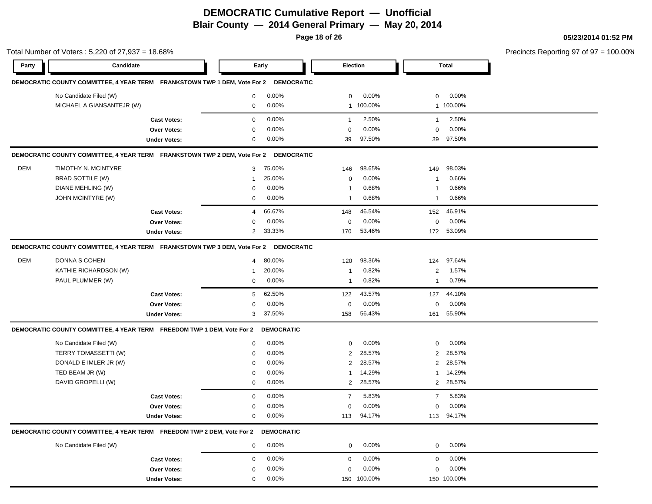**Page 18 of 26**

#### **05/23/2014 01:52 PM**

| Total Number of Voters: 5,220 of 27,937 = 18.68% |                                                                                      |                     |                |                   |                |             |                | Precincts Reporting 97 of 97 = 100.00% |  |
|--------------------------------------------------|--------------------------------------------------------------------------------------|---------------------|----------------|-------------------|----------------|-------------|----------------|----------------------------------------|--|
| Party                                            | Candidate                                                                            |                     |                | Early             | Election       |             |                | <b>Total</b>                           |  |
|                                                  | DEMOCRATIC COUNTY COMMITTEE, 4 YEAR TERM FRANKSTOWN TWP 1 DEM, Vote For 2            |                     |                | <b>DEMOCRATIC</b> |                |             |                |                                        |  |
|                                                  | No Candidate Filed (W)                                                               |                     | $\mathbf 0$    | 0.00%             | 0              | 0.00%       | $\mathbf{0}$   | $0.00\%$                               |  |
|                                                  | MICHAEL A GIANSANTEJR (W)                                                            |                     | 0              | 0.00%             |                | 1 100.00%   |                | 1 100.00%                              |  |
|                                                  |                                                                                      | <b>Cast Votes:</b>  | 0              | 0.00%             | $\overline{1}$ | 2.50%       | $\mathbf{1}$   | 2.50%                                  |  |
|                                                  |                                                                                      | Over Votes:         | 0              | 0.00%             | 0              | 0.00%       | $\mathbf 0$    | 0.00%                                  |  |
|                                                  |                                                                                      | <b>Under Votes:</b> | $\mathbf 0$    | 0.00%             | 39             | 97.50%      | 39             | 97.50%                                 |  |
|                                                  | DEMOCRATIC COUNTY COMMITTEE, 4 YEAR TERM FRANKSTOWN TWP 2 DEM, Vote For 2            |                     |                | <b>DEMOCRATIC</b> |                |             |                |                                        |  |
| <b>DEM</b>                                       | TIMOTHY N. MCINTYRE                                                                  |                     | 3              | 75.00%            | 146            | 98.65%      | 149            | 98.03%                                 |  |
|                                                  | <b>BRAD SOTTILE (W)</b>                                                              |                     | -1             | 25.00%            | 0              | 0.00%       | $\mathbf{1}$   | 0.66%                                  |  |
|                                                  | DIANE MEHLING (W)                                                                    |                     | 0              | 0.00%             | 1              | 0.68%       | $\mathbf{1}$   | 0.66%                                  |  |
|                                                  | JOHN MCINTYRE (W)                                                                    |                     | 0              | 0.00%             | 1              | 0.68%       | $\mathbf{1}$   | 0.66%                                  |  |
|                                                  |                                                                                      | <b>Cast Votes:</b>  | 4              | 66.67%            | 148            | 46.54%      | 152            | 46.91%                                 |  |
|                                                  |                                                                                      | Over Votes:         | 0              | 0.00%             | $\mathbf 0$    | 0.00%       | 0              | 0.00%                                  |  |
|                                                  |                                                                                      | <b>Under Votes:</b> | $\overline{2}$ | 33.33%            | 170            | 53.46%      |                | 172 53.09%                             |  |
|                                                  | DEMOCRATIC COUNTY COMMITTEE, 4 YEAR TERM FRANKSTOWN TWP 3 DEM, Vote For 2 DEMOCRATIC |                     |                |                   |                |             |                |                                        |  |
| <b>DEM</b>                                       | <b>DONNA S COHEN</b>                                                                 |                     | 4              | 80.00%            | 120            | 98.36%      | 124            | 97.64%                                 |  |
|                                                  | KATHIE RICHARDSON (W)                                                                |                     | -1             | 20.00%            | 1              | 0.82%       | $\overline{2}$ | 1.57%                                  |  |
|                                                  | PAUL PLUMMER (W)                                                                     |                     | 0              | 0.00%             | $\mathbf{1}$   | 0.82%       | $\mathbf{1}$   | 0.79%                                  |  |
|                                                  |                                                                                      | <b>Cast Votes:</b>  | 5              | 62.50%            | 122            | 43.57%      | 127            | 44.10%                                 |  |
|                                                  |                                                                                      | Over Votes:         | 0              | 0.00%             | 0              | 0.00%       | 0              | 0.00%                                  |  |
|                                                  |                                                                                      | <b>Under Votes:</b> | 3              | 37.50%            | 158            | 56.43%      | 161            | 55.90%                                 |  |
|                                                  | DEMOCRATIC COUNTY COMMITTEE, 4 YEAR TERM FREEDOM TWP 1 DEM, Vote For 2               |                     |                | <b>DEMOCRATIC</b> |                |             |                |                                        |  |
|                                                  | No Candidate Filed (W)                                                               |                     | 0              | 0.00%             | 0              | 0.00%       | 0              | $0.00\%$                               |  |
|                                                  | TERRY TOMASSETTI (W)                                                                 |                     | 0              | 0.00%             | 2              | 28.57%      | $\overline{2}$ | 28.57%                                 |  |
|                                                  | DONALD E IMLER JR (W)                                                                |                     | 0              | 0.00%             | $\overline{2}$ | 28.57%      | $\overline{2}$ | 28.57%                                 |  |
|                                                  | TED BEAM JR (W)                                                                      |                     | 0              | 0.00%             | 1              | 14.29%      | 1              | 14.29%                                 |  |
|                                                  | DAVID GROPELLI (W)                                                                   |                     | 0              | 0.00%             |                | 2 28.57%    | 2              | 28.57%                                 |  |
|                                                  |                                                                                      | <b>Cast Votes:</b>  | 0              | 0.00%             | $\overline{7}$ | 5.83%       | $\overline{7}$ | 5.83%                                  |  |
|                                                  |                                                                                      | <b>Over Votes:</b>  | 0              | 0.00%             | 0              | 0.00%       | 0              | 0.00%                                  |  |
|                                                  |                                                                                      | <b>Under Votes:</b> | 0              | $0.00\%$          |                | 113 94.17%  |                | 113 94.17%                             |  |
|                                                  | DEMOCRATIC COUNTY COMMITTEE, 4 YEAR TERM FREEDOM TWP 2 DEM, Vote For 2 DEMOCRATIC    |                     |                |                   |                |             |                |                                        |  |
|                                                  | No Candidate Filed (W)                                                               |                     | 0              | 0.00%             | $\mathbf{0}$   | 0.00%       | $\mathbf 0$    | 0.00%                                  |  |
|                                                  |                                                                                      | <b>Cast Votes:</b>  | 0              | 0.00%             | $\mathbf 0$    | 0.00%       | $\mathbf 0$    | 0.00%                                  |  |
|                                                  |                                                                                      | <b>Over Votes:</b>  | 0              | 0.00%             | $\mathbf 0$    | 0.00%       | $\mathbf 0$    | 0.00%                                  |  |
|                                                  |                                                                                      | <b>Under Votes:</b> | 0              | 0.00%             |                | 150 100.00% |                | 150 100.00%                            |  |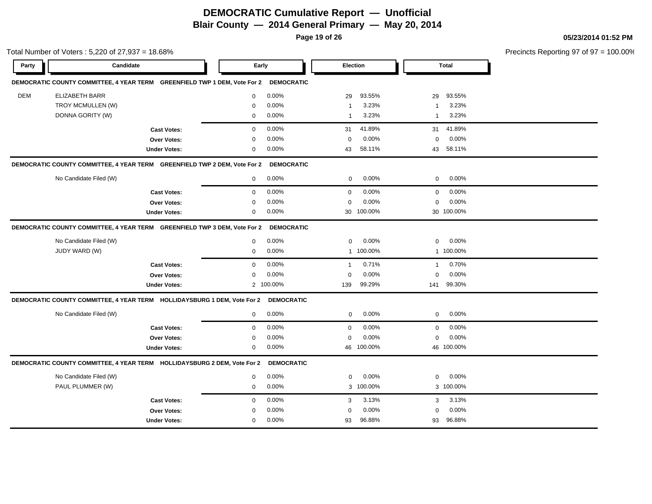**Page 19 of 26**

|            | Total Number of Voters: 5,220 of 27,937 = 18.68%                          |                     |                            |                         |                       | Precincts Reporting 97 of 97 = 100.00% |
|------------|---------------------------------------------------------------------------|---------------------|----------------------------|-------------------------|-----------------------|----------------------------------------|
| Party      | Candidate                                                                 |                     | Early                      | Election                | <b>Total</b>          |                                        |
|            | DEMOCRATIC COUNTY COMMITTEE, 4 YEAR TERM GREENFIELD TWP 1 DEM, Vote For 2 |                     |                            | <b>DEMOCRATIC</b>       |                       |                                        |
| <b>DEM</b> | <b>ELIZABETH BARR</b>                                                     |                     | 0.00%<br>$\mathbf{0}$      | 93.55%<br>29            | 93.55%<br>29          |                                        |
|            | TROY MCMULLEN (W)                                                         |                     | 0.00%<br>$\mathbf{0}$      | 3.23%<br>$\overline{1}$ | 3.23%<br>$\mathbf{1}$ |                                        |
|            | DONNA GORITY (W)                                                          |                     | 0.00%<br>$\mathbf 0$       | 3.23%<br>$\overline{1}$ | 3.23%<br>$\mathbf{1}$ |                                        |
|            |                                                                           | <b>Cast Votes:</b>  | 0.00%<br>0                 | 41.89%<br>31            | 41.89%<br>31          |                                        |
|            |                                                                           | Over Votes:         | 0.00%<br>0                 | 0.00%<br>$\mathbf 0$    | 0.00%<br>$\mathbf 0$  |                                        |
|            |                                                                           | <b>Under Votes:</b> | 0.00%<br>0                 | 58.11%<br>43            | 58.11%<br>43          |                                        |
|            | DEMOCRATIC COUNTY COMMITTEE, 4 YEAR TERM GREENFIELD TWP 2 DEM, Vote For 2 |                     |                            | <b>DEMOCRATIC</b>       |                       |                                        |
|            | No Candidate Filed (W)                                                    |                     | 0.00%<br>$\mathbf 0$       | 0.00%<br>0              | 0.00%<br>$\mathbf{0}$ |                                        |
|            |                                                                           | <b>Cast Votes:</b>  | 0.00%<br>$\mathbf 0$       | 0.00%<br>$\mathbf 0$    | 0.00%<br>$\mathbf 0$  |                                        |
|            |                                                                           | Over Votes:         | 0.00%<br>$\mathbf{0}$      | 0.00%<br>$\mathbf 0$    | 0.00%<br>$\mathbf 0$  |                                        |
|            |                                                                           | <b>Under Votes:</b> | 0.00%<br>0                 | 30 100.00%              | 30 100.00%            |                                        |
|            | DEMOCRATIC COUNTY COMMITTEE, 4 YEAR TERM GREENFIELD TWP 3 DEM, Vote For 2 |                     |                            | <b>DEMOCRATIC</b>       |                       |                                        |
|            | No Candidate Filed (W)                                                    |                     | 0.00%<br>$\mathbf 0$       | 0.00%<br>0              | 0.00%<br>$\mathbf 0$  |                                        |
|            | JUDY WARD (W)                                                             |                     | 0.00%<br>0                 | 1 100.00%               | 1 100.00%             |                                        |
|            |                                                                           | <b>Cast Votes:</b>  | 0.00%<br>0                 | 0.71%<br>$\mathbf{1}$   | 0.70%<br>$\mathbf{1}$ |                                        |
|            |                                                                           | <b>Over Votes:</b>  | 0.00%<br>$\Omega$          | 0.00%<br>0              | 0.00%<br>$\mathbf 0$  |                                        |
|            |                                                                           | <b>Under Votes:</b> | 2 100.00%                  | 99.29%<br>139           | 99.30%<br>141         |                                        |
|            | DEMOCRATIC COUNTY COMMITTEE, 4 YEAR TERM HOLLIDAYSBURG 1 DEM, Vote For 2  |                     |                            | <b>DEMOCRATIC</b>       |                       |                                        |
|            | No Candidate Filed (W)                                                    |                     | $0.00\%$<br>$\overline{0}$ | 0.00%<br>$\mathbf 0$    | 0.00%<br>0            |                                        |
|            |                                                                           | <b>Cast Votes:</b>  | 0.00%<br>$\mathbf{0}$      | 0.00%<br>$\mathbf 0$    | 0.00%<br>$\mathbf 0$  |                                        |
|            |                                                                           | Over Votes:         | 0.00%<br>0                 | 0.00%<br>$\mathbf 0$    | 0.00%<br>$\mathbf 0$  |                                        |
|            |                                                                           | <b>Under Votes:</b> | 0.00%<br>0                 | 46 100.00%              | 46 100.00%            |                                        |
|            | DEMOCRATIC COUNTY COMMITTEE, 4 YEAR TERM HOLLIDAYSBURG 2 DEM, Vote For 2  |                     |                            | <b>DEMOCRATIC</b>       |                       |                                        |
|            | No Candidate Filed (W)                                                    |                     | 0.00%<br>$\mathbf{0}$      | 0.00%<br>$\mathbf 0$    | 0.00%<br>$\mathbf 0$  |                                        |
|            | PAUL PLUMMER (W)                                                          |                     | 0.00%<br>$\mathbf 0$       | 3 100.00%               | 3 100.00%             |                                        |
|            |                                                                           | <b>Cast Votes:</b>  | 0.00%<br>$\mathbf{0}$      | 3.13%<br>3              | 3.13%<br>3            |                                        |
|            |                                                                           | <b>Over Votes:</b>  | 0.00%<br>$\mathbf 0$       | 0.00%<br>$\mathbf 0$    | 0.00%<br>$\mathbf 0$  |                                        |
|            |                                                                           | <b>Under Votes:</b> | 0.00%<br>$\mathbf{0}$      | 96.88%<br>93            | 96.88%<br>93          |                                        |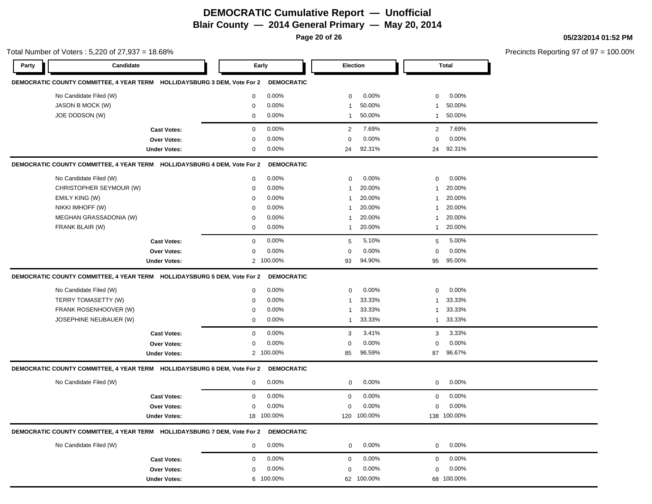**Page 20 of 26**

|       | Total Number of Voters: 5,220 of 27,937 = 18.68%                                    |                     |                          |              |             |                |             | Precincts Reporting 97 of 97 = 100.00% |
|-------|-------------------------------------------------------------------------------------|---------------------|--------------------------|--------------|-------------|----------------|-------------|----------------------------------------|
| Party | Candidate                                                                           |                     | Early                    |              | Election    |                | Total       |                                        |
|       | DEMOCRATIC COUNTY COMMITTEE, 4 YEAR TERM HOLLIDAYSBURG 3 DEM, Vote For 2            |                     | <b>DEMOCRATIC</b>        |              |             |                |             |                                        |
|       | No Candidate Filed (W)                                                              |                     | 0.00%<br>$\mathbf 0$     | $\mathbf{0}$ | 0.00%       | $\mathbf 0$    | 0.00%       |                                        |
|       | JASON B MOCK (W)                                                                    |                     | 0.00%<br>$\mathbf 0$     |              | 50.00%      | $\overline{1}$ | 50.00%      |                                        |
|       | JOE DODSON (W)                                                                      |                     | 0.00%<br>0               | -1           | 50.00%      | $\mathbf{1}$   | 50.00%      |                                        |
|       |                                                                                     | <b>Cast Votes:</b>  | 0.00%<br>0               | 2            | 7.69%       | $\overline{2}$ | 7.69%       |                                        |
|       |                                                                                     | <b>Over Votes:</b>  | 0.00%<br>$\mathbf 0$     | $\mathbf 0$  | 0.00%       | $\mathbf 0$    | 0.00%       |                                        |
|       |                                                                                     | <b>Under Votes:</b> | $0.00\%$<br>0            | 24           | 92.31%      | 24             | 92.31%      |                                        |
|       | DEMOCRATIC COUNTY COMMITTEE, 4 YEAR TERM HOLLIDAYSBURG 4 DEM, Vote For 2            |                     | <b>DEMOCRATIC</b>        |              |             |                |             |                                        |
|       | No Candidate Filed (W)                                                              |                     | 0.00%<br>0               | 0            | 0.00%       | 0              | 0.00%       |                                        |
|       | CHRISTOPHER SEYMOUR (W)                                                             |                     | 0.00%<br>$\mathbf 0$     |              | 20.00%      | $\overline{1}$ | 20.00%      |                                        |
|       | <b>EMILY KING (W)</b>                                                               |                     | 0.00%<br>0               |              | 20.00%      | $\mathbf{1}$   | 20.00%      |                                        |
|       | NIKKI IMHOFF (W)                                                                    |                     | 0.00%<br>0               |              | 20.00%      | $\mathbf{1}$   | 20.00%      |                                        |
|       | MEGHAN GRASSADONIA (W)                                                              |                     | 0.00%<br>0               |              | 20.00%      | $\mathbf{1}$   | 20.00%      |                                        |
|       | FRANK BLAIR (W)                                                                     |                     | $0.00\%$<br>0            | -1           | 20.00%      | $\mathbf{1}$   | 20.00%      |                                        |
|       |                                                                                     | <b>Cast Votes:</b>  | 0.00%<br>$\mathbf{0}$    | 5            | 5.10%       | 5              | 5.00%       |                                        |
|       |                                                                                     | Over Votes:         | 0.00%<br>0               | $\Omega$     | 0.00%       | 0              | 0.00%       |                                        |
|       |                                                                                     | <b>Under Votes:</b> | 2 100.00%                | 93           | 94.90%      | 95             | 95.00%      |                                        |
|       | DEMOCRATIC COUNTY COMMITTEE, 4 YEAR TERM HOLLIDAYSBURG 5 DEM, Vote For 2            |                     | <b>DEMOCRATIC</b>        |              |             |                |             |                                        |
|       | No Candidate Filed (W)                                                              |                     | 0.00%<br>0               | $\mathbf{0}$ | 0.00%       | 0              | 0.00%       |                                        |
|       | TERRY TOMASETTY (W)                                                                 |                     | 0.00%<br>$\mathbf 0$     |              | 33.33%      | $\mathbf{1}$   | 33.33%      |                                        |
|       | FRANK ROSENHOOVER (W)                                                               |                     | 0.00%<br>$\mathbf 0$     |              | 33.33%      | $\mathbf{1}$   | 33.33%      |                                        |
|       | JOSEPHINE NEUBAUER (W)                                                              |                     | $0.00\%$<br>$\mathbf 0$  | $\mathbf{1}$ | 33.33%      | $\mathbf{1}$   | 33.33%      |                                        |
|       |                                                                                     | <b>Cast Votes:</b>  | 0.00%<br>0               | 3            | 3.41%       | 3              | 3.33%       |                                        |
|       |                                                                                     | Over Votes:         | 0.00%<br>0               | 0            | 0.00%       | 0              | 0.00%       |                                        |
|       |                                                                                     | <b>Under Votes:</b> | 2 100.00%                | 85           | 96.59%      | 87             | 96.67%      |                                        |
|       | DEMOCRATIC COUNTY COMMITTEE, 4 YEAR TERM HOLLIDAYSBURG 6 DEM, Vote For 2            |                     | <b>DEMOCRATIC</b>        |              |             |                |             |                                        |
|       | No Candidate Filed (W)                                                              |                     | $0.00\%$<br>0            | $\mathbf{0}$ | 0.00%       | $\mathbf 0$    | 0.00%       |                                        |
|       |                                                                                     | <b>Cast Votes:</b>  | 0.00%<br>0               | 0            | 0.00%       | $\mathbf 0$    | 0.00%       |                                        |
|       |                                                                                     | <b>Over Votes:</b>  | 0.00%<br>0               | 0            | 0.00%       | 0              | 0.00%       |                                        |
|       |                                                                                     | <b>Under Votes:</b> | 18 100.00%               |              | 120 100.00% |                | 138 100.00% |                                        |
|       | DEMOCRATIC COUNTY COMMITTEE, 4 YEAR TERM HOLLIDAYSBURG 7 DEM, Vote For 2 DEMOCRATIC |                     |                          |              |             |                |             |                                        |
|       | No Candidate Filed (W)                                                              |                     | $0.00\%$<br>$\mathbf{0}$ | $\mathbf{0}$ | $0.00\%$    | $\overline{0}$ | $0.00\%$    |                                        |
|       |                                                                                     | <b>Cast Votes:</b>  | $0.00\%$<br>$\mathbf 0$  | $\mathbf 0$  | 0.00%       | $\mathbf 0$    | $0.00\%$    |                                        |
|       |                                                                                     | Over Votes:         | 0.00%<br>$\mathbf 0$     | 0            | 0.00%       | $\mathbf 0$    | $0.00\%$    |                                        |
|       |                                                                                     | <b>Under Votes:</b> | 6 100.00%                |              | 62 100.00%  |                | 68 100.00%  |                                        |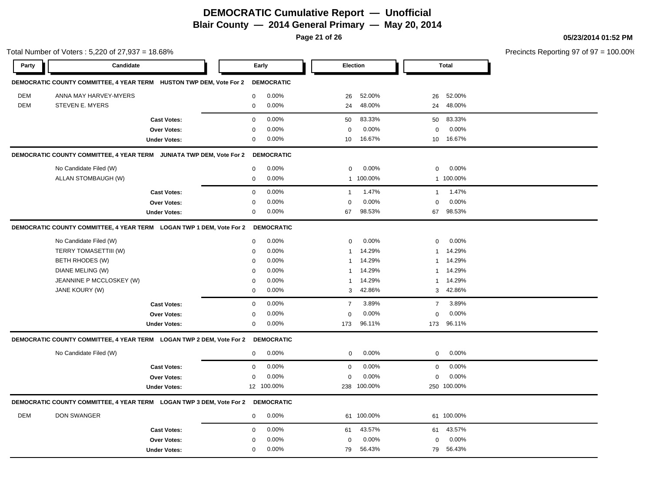**Page 21 of 26**

#### **05/23/2014 01:52 PM**

Total Number of Voters : 5,220 of 27,937 = 18.68% Precincts Reporting 97 of 97 = 100.00% **Party Candidate Early Election Total DEMOCRATIC COUNTY COMMITTEE, 4 YEAR TERM HUSTON TWP DEM, Vote For 2 DEMOCRATIC** DEM ANNA MAY HARVEY-MYERS 0 0.00% 26 52.00% 26 52.00% DEM STEVEN E. MYERS 0 0.00% 24 48.00% 24 48.00% **Cast Votes:** 0 0.00% 50 83.33% 50 83.33% **Over Votes:** 0 0.00% **Under Votes:** 0 0.00% 0 10 16.67% 10 10 16.67% 16.67% 0.00% 0 0.00% **DEMOCRATIC COUNTY COMMITTEE, 4 YEAR TERM JUNIATA TWP DEM, Vote For 2 DEMOCRATIC** No Candidate Filed (W) 0 0.00% 0 0.00% 0 0.00% ALLAN STOMBAUGH (W) 0 0.00% 1 100.00% 1 100.00% **Cast Votes:** 0 0.00% 1 1.47% 1 1.47% **Over Votes:** 0 0.00% **Under Votes:** 0 0.00% 0 0.00% 67 67 0.00% 0 0.00% 98.53% 98.53% **DEMOCRATIC COUNTY COMMITTEE, 4 YEAR TERM LOGAN TWP 1 DEM, Vote For 2 DEMOCRATIC** No Candidate Filed (W)  $0.00\%$  0.00% 0 0.00% 0 0.00% 0 0.00% TERRY TOMASETTIII (W)  $0.00\%$  0.00% 1 14.29% 1 14.29% BETH RHODES (W) 0 0.00% 1 14.29% 1 14.29% DIANE MELING (W) 0 0.00% 1 14.29% 1 14.29% JEANNINE P MCCLOSKEY (W) 0 0.00% 1 14.29% 1 14.29% JANE KOURY (W) 0 0.00% 3 42.86% 3 42.86% **Cast Votes:** 0 0.00% 7 3.89% 7 3.89% **Over Votes:** 0 0.00% **Under Votes:** 0 0.00% 0 173 96.11% 173 173 96.11% 96.11% 0.00% 0 0.00% **DEMOCRATIC COUNTY COMMITTEE, 4 YEAR TERM LOGAN TWP 2 DEM, Vote For 2 DEMOCRATIC** No Candidate Filed (W) 0 0.00% 0 0.00% 0 0.00% **Cast Votes:** 0 0.00% 0 0.00% 0 0.00% **Over Votes:** 0 0.00% Under Votes: 12 100.00% 0.00% 0 100.00% 238 250 0.00% 0 0.00% 100.00% 100.00% **DEMOCRATIC COUNTY COMMITTEE, 4 YEAR TERM LOGAN TWP 3 DEM, Vote For 2 DEMOCRATIC** DEM DON SWANGER 0 0.00% 61 100.00% 61 100.00% **Cast Votes:** 0 0.00% 61 43.57% 61 43.57% **Over Votes:** 0 0.00% **Under Votes:** 0 0.00% 0 0.00% 79 79 0.00% 0 0.00% 56.43% 56.43%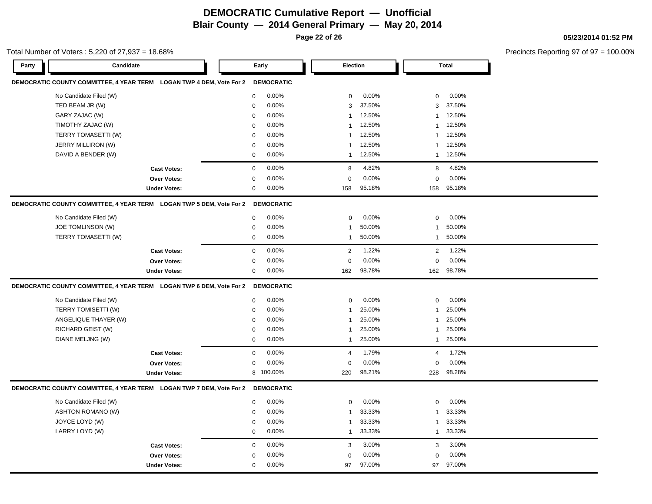**Page 22 of 26**

#### Total Number of Voters : 5,220 of 27,937 = 18.68%

**05/23/2014 01:52 PM**

| Party<br>Candidate                                                              | Early                 | Election                 | <b>Total</b>            |  |
|---------------------------------------------------------------------------------|-----------------------|--------------------------|-------------------------|--|
| DEMOCRATIC COUNTY COMMITTEE, 4 YEAR TERM LOGAN TWP 4 DEM, Vote For 2            | <b>DEMOCRATIC</b>     |                          |                         |  |
| No Candidate Filed (W)                                                          | 0.00%<br>0            | 0.00%<br>0               | 0.00%<br>0              |  |
| TED BEAM JR (W)                                                                 | 0.00%<br>0            | 37.50%<br>3              | 37.50%<br>3             |  |
| GARY ZAJAC (W)                                                                  | 0.00%<br>0            | 12.50%<br>1              | 12.50%<br>1             |  |
| TIMOTHY ZAJAC (W)                                                               | 0.00%<br>$\mathbf 0$  | 12.50%<br>$\mathbf{1}$   | 12.50%<br>1             |  |
| TERRY TOMASETTI (W)                                                             | 0.00%<br>0            | 12.50%<br>1              | 12.50%<br>1             |  |
| JERRY MILLIRON (W)                                                              | 0.00%<br>0            | 12.50%<br>1              | 12.50%<br>1             |  |
| DAVID A BENDER (W)                                                              | 0.00%<br>0            | 12.50%<br>1              | 12.50%<br>1             |  |
| <b>Cast Votes:</b>                                                              | 0<br>0.00%            | 4.82%<br>8               | 4.82%<br>8              |  |
| Over Votes:                                                                     | 0.00%<br>0            | 0.00%<br>$\mathbf 0$     | 0.00%<br>0              |  |
| <b>Under Votes:</b>                                                             | 0.00%<br>0            | 95.18%<br>158            | 95.18%<br>158           |  |
| DEMOCRATIC COUNTY COMMITTEE, 4 YEAR TERM LOGAN TWP 5 DEM, Vote For 2            | <b>DEMOCRATIC</b>     |                          |                         |  |
| No Candidate Filed (W)                                                          | 0.00%<br>0            | 0.00%<br>0               | 0.00%<br>0              |  |
| JOE TOMLINSON (W)                                                               | 0.00%<br>0            | 50.00%<br>$\overline{1}$ | 50.00%<br>1             |  |
| TERRY TOMASETTI (W)                                                             | 0.00%<br>0            | 50.00%<br>$\overline{1}$ | 50.00%<br>$\mathbf{1}$  |  |
| <b>Cast Votes:</b>                                                              | 0.00%<br>$\mathbf 0$  | $\overline{2}$<br>1.22%  | 1.22%<br>2              |  |
| <b>Over Votes:</b>                                                              | 0.00%<br>0            | 0.00%<br>$\mathbf 0$     | 0.00%<br>0              |  |
| <b>Under Votes:</b>                                                             | 0<br>0.00%            | 162<br>98.78%            | 98.78%<br>162           |  |
| DEMOCRATIC COUNTY COMMITTEE, 4 YEAR TERM LOGAN TWP 6 DEM, Vote For 2 DEMOCRATIC |                       |                          |                         |  |
| No Candidate Filed (W)                                                          | 0.00%<br>0            | 0.00%<br>0               | 0.00%<br>0              |  |
| TERRY TOMISETTI (W)                                                             | 0.00%<br>$\mathbf 0$  | 25.00%<br>$\overline{1}$ | 25.00%<br>1             |  |
| ANGELIQUE THAYER (W)                                                            | 0.00%<br>$\mathbf 0$  | 25.00%<br>$\overline{1}$ | 25.00%<br>$\mathbf 1$   |  |
| RICHARD GEIST (W)                                                               | $\mathbf 0$<br>0.00%  | 25.00%<br>$\mathbf{1}$   | 25.00%<br>1             |  |
| DIANE MELJNG (W)                                                                | 0.00%<br>0            | 25.00%<br>$\mathbf{1}$   | 25.00%<br>$\mathbf{1}$  |  |
| <b>Cast Votes:</b>                                                              | 0.00%<br>$\mathbf 0$  | 1.79%<br>$\overline{4}$  | 1.72%<br>$\overline{4}$ |  |
| <b>Over Votes:</b>                                                              | 0.00%<br>0            | 0.00%<br>$\mathbf 0$     | 0.00%<br>0              |  |
| <b>Under Votes:</b>                                                             | 8 100.00%             | 220<br>98.21%            | 98.28%<br>228           |  |
| DEMOCRATIC COUNTY COMMITTEE, 4 YEAR TERM LOGAN TWP 7 DEM, Vote For 2            | <b>DEMOCRATIC</b>     |                          |                         |  |
| No Candidate Filed (W)                                                          | 0.00%<br>$\mathbf 0$  | 0.00%<br>$\mathbf 0$     | 0.00%<br>$\mathbf 0$    |  |
| <b>ASHTON ROMANO (W)</b>                                                        | 0.00%<br>$\mathbf 0$  | 33.33%<br>-1             | 33.33%<br>1             |  |
| JOYCE LOYD (W)                                                                  | 0.00%<br>0            | 33.33%<br>1              | 33.33%<br>1             |  |
| LARRY LOYD (W)                                                                  | 0.00%<br>$\mathbf 0$  | 33.33%<br>$\mathbf{1}$   | 33.33%<br>$\mathbf{1}$  |  |
| <b>Cast Votes:</b>                                                              | 0.00%<br>$\mathbf{0}$ | 3.00%<br>3               | 3.00%<br>3              |  |
| <b>Over Votes:</b>                                                              | 0.00%<br>$\Omega$     | 0.00%<br>$\mathbf 0$     | 0.00%<br>$\mathbf 0$    |  |
| <b>Under Votes:</b>                                                             | 0.00%<br>0            | 97.00%<br>97             | 97.00%<br>97            |  |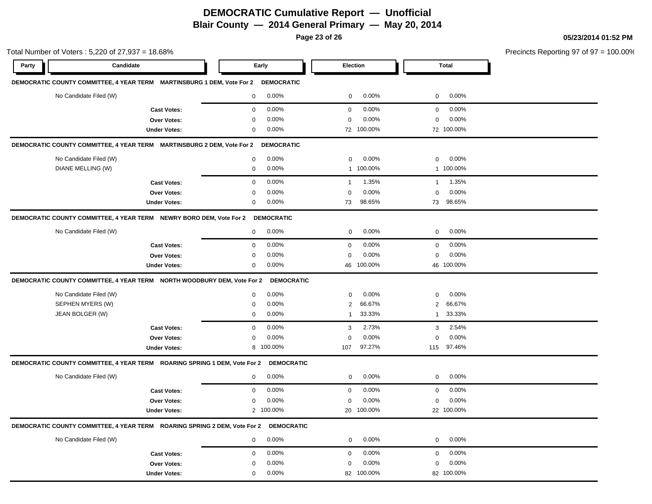**Page 23 of 26**

| Total Number of Voters: 5,220 of 27,937 = 18.68%                                  |                     |                         |                         |                          | Precincts Reporting 97 of 97 = 100.00% |
|-----------------------------------------------------------------------------------|---------------------|-------------------------|-------------------------|--------------------------|----------------------------------------|
| Party<br>Candidate                                                                |                     | Early                   | <b>Election</b>         | <b>Total</b>             |                                        |
| DEMOCRATIC COUNTY COMMITTEE, 4 YEAR TERM MARTINSBURG 1 DEM, Vote For 2 DEMOCRATIC |                     |                         |                         |                          |                                        |
| No Candidate Filed (W)                                                            |                     | 0.00%<br>$\mathbf 0$    | 0.00%<br>$\mathbf 0$    | 0.00%<br>$\mathbf{0}$    |                                        |
|                                                                                   | <b>Cast Votes:</b>  | 0.00%<br>$\mathbf 0$    | 0.00%<br>$\mathbf{0}$   | 0.00%<br>$\mathbf 0$     |                                        |
|                                                                                   | <b>Over Votes:</b>  | 0.00%<br>0              | 0.00%<br>0              | 0.00%<br>$\mathbf 0$     |                                        |
|                                                                                   | <b>Under Votes:</b> | 0.00%<br>$\mathbf 0$    | 72 100.00%              | 72 100.00%               |                                        |
| DEMOCRATIC COUNTY COMMITTEE, 4 YEAR TERM MARTINSBURG 2 DEM, Vote For 2            |                     | <b>DEMOCRATIC</b>       |                         |                          |                                        |
| No Candidate Filed (W)                                                            |                     | $0.00\%$<br>$\mathbf 0$ | 0.00%<br>$\mathbf 0$    | 0.00%<br>$\mathbf 0$     |                                        |
| DIANE MELLING (W)                                                                 |                     | 0.00%<br>$\mathbf 0$    | 1 100.00%               | 1 100.00%                |                                        |
|                                                                                   | <b>Cast Votes:</b>  | 0.00%<br>$\mathbf 0$    | 1.35%<br>$\overline{1}$ | 1.35%<br>$\mathbf{1}$    |                                        |
|                                                                                   | Over Votes:         | 0.00%<br>$\mathbf 0$    | 0.00%<br>$\mathbf 0$    | 0.00%<br>$\mathbf 0$     |                                        |
|                                                                                   | <b>Under Votes:</b> | 0.00%<br>0              | 73<br>98.65%            | 73<br>98.65%             |                                        |
| DEMOCRATIC COUNTY COMMITTEE, 4 YEAR TERM NEWRY BORO DEM, Vote For 2 DEMOCRATIC    |                     |                         |                         |                          |                                        |
| No Candidate Filed (W)                                                            |                     | 0.00%<br>$\mathbf 0$    | 0.00%<br>$\mathbf 0$    | 0.00%<br>$\mathbf 0$     |                                        |
|                                                                                   | <b>Cast Votes:</b>  | 0.00%<br>$\mathbf 0$    | 0.00%<br>$\mathbf 0$    | 0.00%<br>$\mathbf 0$     |                                        |
|                                                                                   | Over Votes:         | 0.00%<br>$\mathbf 0$    | 0.00%<br>$\mathbf 0$    | 0.00%<br>$\mathbf 0$     |                                        |
|                                                                                   | <b>Under Votes:</b> | 0.00%<br>$\mathbf 0$    | 46 100.00%              | 46 100.00%               |                                        |
| DEMOCRATIC COUNTY COMMITTEE, 4 YEAR TERM NORTH WOODBURY DEM, Vote For 2           |                     | <b>DEMOCRATIC</b>       |                         |                          |                                        |
| No Candidate Filed (W)                                                            |                     | 0.00%<br>$\mathbf 0$    | 0.00%<br>$\mathbf 0$    | 0.00%<br>$\mathbf 0$     |                                        |
| SEPHEN MYERS (W)                                                                  |                     | $\mathbf 0$<br>0.00%    | 66.67%<br>2             | 66.67%<br>$\overline{2}$ |                                        |
| JEAN BOLGER (W)                                                                   |                     | $\mathsf 0$<br>0.00%    | 33.33%<br>$\mathbf{1}$  | 33.33%<br>$\mathbf{1}$   |                                        |
|                                                                                   | <b>Cast Votes:</b>  | 0.00%<br>$\mathbf 0$    | 2.73%<br>3              | 2.54%<br>3               |                                        |
|                                                                                   | Over Votes:         | 0.00%<br>$\mathsf 0$    | 0.00%<br>0              | 0.00%<br>$\mathbf 0$     |                                        |
|                                                                                   | <b>Under Votes:</b> | 8 100.00%               | 97.27%<br>107           | 115 97.46%               |                                        |
| DEMOCRATIC COUNTY COMMITTEE, 4 YEAR TERM ROARING SPRING 1 DEM, Vote For 2         |                     | <b>DEMOCRATIC</b>       |                         |                          |                                        |
| No Candidate Filed (W)                                                            |                     | 0.00%<br>$\mathbf 0$    | 0.00%<br>$\mathbf 0$    | 0.00%<br>$\mathbf 0$     |                                        |
|                                                                                   | <b>Cast Votes:</b>  | 0.00%<br>$\mathbf 0$    | 0.00%<br>$\mathbf 0$    | 0.00%<br>$\mathbf 0$     |                                        |
|                                                                                   | Over Votes:         | 0.00%<br>$\mathbf 0$    | 0.00%<br>$\mathbf 0$    | 0.00%<br>$\mathbf 0$     |                                        |
|                                                                                   | <b>Under Votes:</b> | 2 100.00%               | 20 100.00%              | 22 100.00%               |                                        |
| DEMOCRATIC COUNTY COMMITTEE, 4 YEAR TERM ROARING SPRING 2 DEM, Vote For 2         |                     | <b>DEMOCRATIC</b>       |                         |                          |                                        |
| No Candidate Filed (W)                                                            |                     | 0.00%<br>$\mathbf 0$    | 0.00%<br>$\mathbf 0$    | 0.00%<br>$\mathbf 0$     |                                        |
|                                                                                   | <b>Cast Votes:</b>  | 0.00%<br>$\mathbf 0$    | 0.00%<br>$\mathbf 0$    | 0.00%<br>$\mathbf 0$     |                                        |
|                                                                                   | <b>Over Votes:</b>  | 0.00%<br>0              | 0.00%<br>0              | 0.00%<br>0               |                                        |
|                                                                                   | <b>Under Votes:</b> | 0.00%<br>$\mathbf 0$    | 100.00%<br>82           | 82 100.00%               |                                        |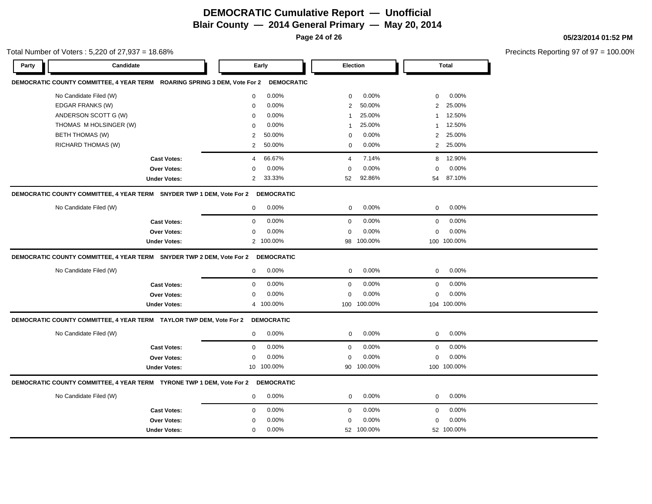**Page 24 of 26**

Total Number of Voters : 5,220 of 27,937 = 18.68%

**05/23/2014 01:52 PM**

| Party | Candidate                                                                        | Early                    | Election                | <b>Total</b>             |  |
|-------|----------------------------------------------------------------------------------|--------------------------|-------------------------|--------------------------|--|
|       | DEMOCRATIC COUNTY COMMITTEE, 4 YEAR TERM ROARING SPRING 3 DEM, Vote For 2        | <b>DEMOCRATIC</b>        |                         |                          |  |
|       | No Candidate Filed (W)                                                           | 0.00%<br>$\mathbf 0$     | 0.00%<br>$\mathbf 0$    | 0.00%<br>$\mathbf 0$     |  |
|       | EDGAR FRANKS (W)                                                                 | 0.00%<br>$\Omega$        | 50.00%<br>2             | 25.00%<br>$\overline{2}$ |  |
|       | ANDERSON SCOTT G (W)                                                             | 0.00%<br>$\mathbf 0$     | 25.00%<br>1             | 12.50%<br>1              |  |
|       | THOMAS M HOLSINGER (W)                                                           | 0.00%<br>0               | 25.00%<br>1             | 12.50%<br>1              |  |
|       | <b>BETH THOMAS (W)</b>                                                           | 50.00%<br>2              | 0.00%<br>$\Omega$       | 25.00%<br>2              |  |
|       | RICHARD THOMAS (W)                                                               | $\mathbf{2}$<br>50.00%   | 0.00%<br>$\mathbf 0$    | 2 25.00%                 |  |
|       | <b>Cast Votes:</b>                                                               | 66.67%<br>4              | $\overline{4}$<br>7.14% | 12.90%<br>8              |  |
|       | <b>Over Votes:</b>                                                               | 0.00%<br>0               | $0.00\%$<br>$\mathbf 0$ | $0.00\%$<br>0            |  |
|       | <b>Under Votes:</b>                                                              | $\overline{2}$<br>33.33% | 92.86%<br>52            | 54 87.10%                |  |
|       | DEMOCRATIC COUNTY COMMITTEE, 4 YEAR TERM SNYDER TWP 1 DEM, Vote For 2 DEMOCRATIC |                          |                         |                          |  |
|       | No Candidate Filed (W)                                                           | 0.00%<br>0               | 0.00%<br>0              | 0.00%<br>$\mathbf 0$     |  |
|       | <b>Cast Votes:</b>                                                               | 0.00%<br>$\mathbf 0$     | 0.00%<br>$\mathbf 0$    | 0.00%<br>$\mathbf 0$     |  |
|       | <b>Over Votes:</b>                                                               | 0.00%<br>$\mathbf 0$     | 0.00%<br>$\mathbf 0$    | 0.00%<br>$\mathbf 0$     |  |
|       | <b>Under Votes:</b>                                                              | 2 100.00%                | 98 100.00%              | 100 100.00%              |  |
|       | DEMOCRATIC COUNTY COMMITTEE, 4 YEAR TERM SNYDER TWP 2 DEM, Vote For 2 DEMOCRATIC |                          |                         |                          |  |
|       | No Candidate Filed (W)                                                           | 0.00%<br>$\mathbf{0}$    | 0.00%<br>$\mathbf 0$    | 0.00%<br>$\mathbf 0$     |  |
|       | <b>Cast Votes:</b>                                                               | 0.00%<br>$\mathbf 0$     | 0.00%<br>$\mathbf 0$    | 0.00%<br>$\mathbf 0$     |  |
|       | <b>Over Votes:</b>                                                               | 0.00%<br>$\mathbf 0$     | 0.00%<br>$\mathbf 0$    | 0.00%<br>$\mathbf 0$     |  |
|       | <b>Under Votes:</b>                                                              | 4 100.00%                | 100.00%<br>100          | 104 100.00%              |  |
|       |                                                                                  |                          |                         |                          |  |
|       | DEMOCRATIC COUNTY COMMITTEE, 4 YEAR TERM TAYLOR TWP DEM, Vote For 2              | <b>DEMOCRATIC</b>        |                         |                          |  |
|       | No Candidate Filed (W)                                                           | $0.00\%$<br>$\mathbf{0}$ | 0.00%<br>$\mathbf 0$    | 0.00%<br>$\mathbf 0$     |  |
|       | <b>Cast Votes:</b>                                                               | 0.00%<br>$\Omega$        | 0.00%<br>$\Omega$       | 0.00%<br>$\mathbf 0$     |  |
|       | <b>Over Votes:</b>                                                               | 0.00%<br>0               | 0.00%<br>$\mathbf 0$    | 0.00%<br>0               |  |
|       | <b>Under Votes:</b>                                                              | 10 100.00%               | 100.00%<br>90           | 100 100.00%              |  |
|       | DEMOCRATIC COUNTY COMMITTEE, 4 YEAR TERM TYRONE TWP 1 DEM, Vote For 2 DEMOCRATIC |                          |                         |                          |  |
|       | No Candidate Filed (W)                                                           | 0.00%<br>0               | 0.00%<br>$\mathbf 0$    | $0.00\%$<br>0            |  |
|       | <b>Cast Votes:</b>                                                               | 0.00%<br>$\mathbf{0}$    | 0.00%<br>$\mathbf 0$    | 0.00%<br>$\mathbf 0$     |  |
|       | <b>Over Votes:</b>                                                               | 0.00%<br>0               | $\mathbf 0$<br>$0.00\%$ | 0.00%<br>$\mathbf 0$     |  |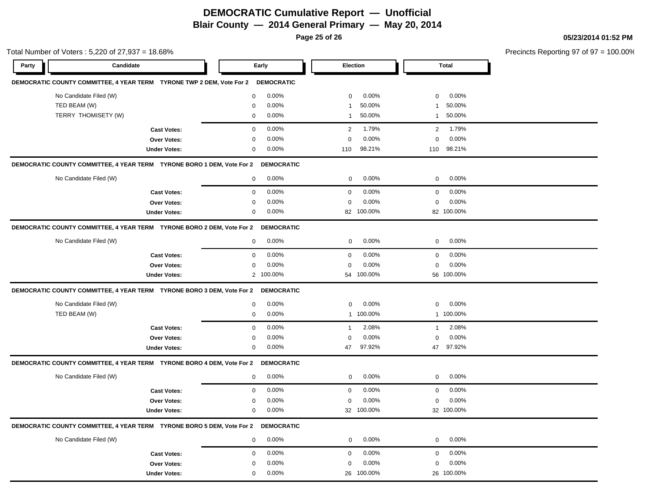**Page 25 of 26**

| Total Number of Voters : 5,220 of 27,937 = 18.68% |                                                                                   |                     |                         |                          |                         | Precincts Reporting 97 of 97 = 100.00% |
|---------------------------------------------------|-----------------------------------------------------------------------------------|---------------------|-------------------------|--------------------------|-------------------------|----------------------------------------|
| Party                                             | Candidate                                                                         |                     | Early                   | Election                 | <b>Total</b>            |                                        |
|                                                   | DEMOCRATIC COUNTY COMMITTEE, 4 YEAR TERM TYRONE TWP 2 DEM, Vote For 2 DEMOCRATIC  |                     |                         |                          |                         |                                        |
|                                                   | No Candidate Filed (W)                                                            |                     | 0.00%<br>$\mathbf 0$    | 0.00%<br>$\mathbf 0$     | 0.00%<br>$\mathbf 0$    |                                        |
|                                                   | TED BEAM (W)                                                                      |                     | 0.00%<br>$\mathbf 0$    | 50.00%<br>-1             | 50.00%<br>$\mathbf{1}$  |                                        |
|                                                   | TERRY THOMISETY (W)                                                               |                     | 0.00%<br>$\mathbf 0$    | 50.00%<br>$\overline{1}$ | 50.00%<br>$\mathbf{1}$  |                                        |
|                                                   |                                                                                   | <b>Cast Votes:</b>  | $\mathbf 0$<br>0.00%    | 1.79%<br>2               | 1.79%<br>2              |                                        |
|                                                   |                                                                                   | <b>Over Votes:</b>  | 0.00%<br>0              | 0.00%<br>$\mathbf 0$     | 0.00%<br>$\mathbf 0$    |                                        |
|                                                   |                                                                                   | <b>Under Votes:</b> | 0.00%<br>$\mathbf 0$    | 98.21%<br>110            | 110 98.21%              |                                        |
|                                                   | DEMOCRATIC COUNTY COMMITTEE, 4 YEAR TERM TYRONE BORO 1 DEM, Vote For 2            |                     | <b>DEMOCRATIC</b>       |                          |                         |                                        |
|                                                   | No Candidate Filed (W)                                                            |                     | 0<br>0.00%              | 0.00%<br>$\mathbf 0$     | $\mathbf 0$<br>0.00%    |                                        |
|                                                   |                                                                                   | <b>Cast Votes:</b>  | 0.00%<br>$\mathbf 0$    | 0.00%<br>$\mathbf 0$     | 0.00%<br>$\mathbf 0$    |                                        |
|                                                   |                                                                                   | Over Votes:         | 0.00%<br>$\mathbf 0$    | 0.00%<br>$\mathbf 0$     | 0.00%<br>$\mathbf 0$    |                                        |
|                                                   |                                                                                   | <b>Under Votes:</b> | 0.00%<br>0              | 82 100.00%               | 82 100.00%              |                                        |
|                                                   | DEMOCRATIC COUNTY COMMITTEE, 4 YEAR TERM TYRONE BORO 2 DEM, Vote For 2            |                     | <b>DEMOCRATIC</b>       |                          |                         |                                        |
|                                                   | No Candidate Filed (W)                                                            |                     | 0.00%<br>0              | 0.00%<br>$\mathbf 0$     | 0.00%<br>$\mathbf 0$    |                                        |
|                                                   |                                                                                   | <b>Cast Votes:</b>  | 0.00%<br>$\mathbf 0$    | 0.00%<br>$\mathbf 0$     | 0.00%<br>$\mathbf 0$    |                                        |
|                                                   |                                                                                   | <b>Over Votes:</b>  | 0.00%<br>0              | 0.00%<br>$\mathbf 0$     | 0.00%<br>$\mathbf 0$    |                                        |
|                                                   |                                                                                   | <b>Under Votes:</b> | 2 100.00%               | 54 100.00%               | 56 100.00%              |                                        |
|                                                   | DEMOCRATIC COUNTY COMMITTEE, 4 YEAR TERM  TYRONE BORO 3 DEM, Vote For 2           |                     | <b>DEMOCRATIC</b>       |                          |                         |                                        |
|                                                   | No Candidate Filed (W)                                                            |                     | 0.00%<br>$\mathbf 0$    | 0.00%<br>$\mathbf 0$     | 0.00%<br>$\mathbf 0$    |                                        |
|                                                   | TED BEAM (W)                                                                      |                     | 0.00%<br>$\mathbf 0$    | 1 100.00%                | 1 100.00%               |                                        |
|                                                   |                                                                                   | <b>Cast Votes:</b>  | 0.00%<br>$\mathbf 0$    | 2.08%<br>$\overline{1}$  | 2.08%<br>$\mathbf{1}$   |                                        |
|                                                   |                                                                                   | Over Votes:         | 0.00%<br>$\mathbf 0$    | 0.00%<br>$\mathbf 0$     | 0.00%<br>$\mathbf 0$    |                                        |
|                                                   |                                                                                   | <b>Under Votes:</b> | $\mathbf 0$<br>$0.00\%$ | 97.92%<br>47             | 47 97.92%               |                                        |
|                                                   | DEMOCRATIC COUNTY COMMITTEE, 4 YEAR TERM TYRONE BORO 4 DEM, Vote For 2            |                     | <b>DEMOCRATIC</b>       |                          |                         |                                        |
|                                                   | No Candidate Filed (W)                                                            |                     | 0.00%<br>$\mathbf 0$    | 0.00%<br>$\mathbf{0}$    | 0.00%<br>$\overline{0}$ |                                        |
|                                                   |                                                                                   | <b>Cast Votes:</b>  | 0.00%<br>$\mathbf 0$    | 0.00%<br>$\mathbf 0$     | 0.00%<br>$\mathbf 0$    |                                        |
|                                                   |                                                                                   | <b>Over Votes:</b>  | 0.00%<br>$\mathbf 0$    | 0.00%<br>$\mathbf 0$     | 0.00%<br>$\mathbf 0$    |                                        |
|                                                   |                                                                                   | <b>Under Votes:</b> | 0.00%<br>$\mathsf 0$    | 32 100.00%               | 32 100.00%              |                                        |
|                                                   | DEMOCRATIC COUNTY COMMITTEE, 4 YEAR TERM TYRONE BORO 5 DEM, Vote For 2 DEMOCRATIC |                     |                         |                          |                         |                                        |
|                                                   | No Candidate Filed (W)                                                            |                     | 0.00%<br>0              | 0.00%<br>$\mathbf 0$     | $0.00\%$<br>$\mathbf 0$ |                                        |
|                                                   |                                                                                   | <b>Cast Votes:</b>  | 0.00%<br>$\mathbf 0$    | 0.00%<br>$\mathbf 0$     | 0.00%<br>$\mathbf 0$    |                                        |
|                                                   |                                                                                   | <b>Over Votes:</b>  | 0.00%<br>0              | 0.00%<br>0               | 0.00%<br>0              |                                        |
|                                                   |                                                                                   | <b>Under Votes:</b> | 0.00%<br>$\mathbf 0$    | 26 100.00%               | 26 100.00%              |                                        |